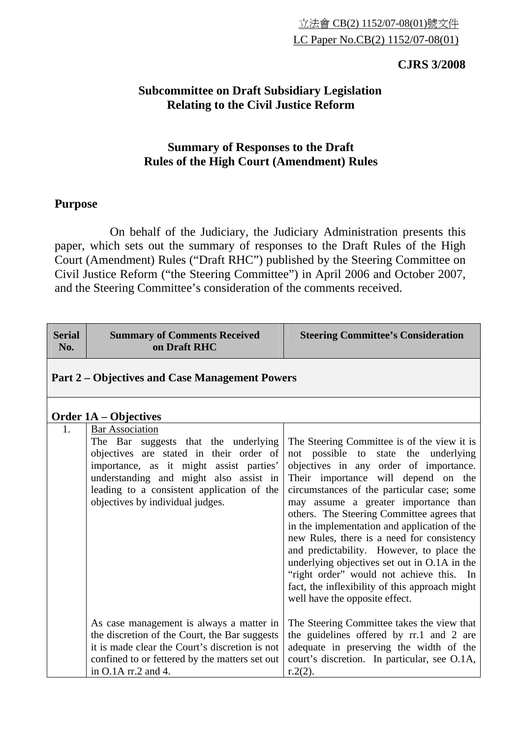## **CJRS 3/2008**

## **Subcommittee on Draft Subsidiary Legislation Relating to the Civil Justice Reform**

## **Summary of Responses to the Draft Rules of the High Court (Amendment) Rules**

## **Purpose**

 On behalf of the Judiciary, the Judiciary Administration presents this paper, which sets out the summary of responses to the Draft Rules of the High Court (Amendment) Rules ("Draft RHC") published by the Steering Committee on Civil Justice Reform ("the Steering Committee") in April 2006 and October 2007, and the Steering Committee's consideration of the comments received.

| <b>Serial</b><br>No. | <b>Summary of Comments Received</b><br>on Draft RHC                                                                                                                                                                                                                              | <b>Steering Committee's Consideration</b>                                                                                                                                                                                                                                                                                                                                                                                                                                                                                                                                                                                           |  |
|----------------------|----------------------------------------------------------------------------------------------------------------------------------------------------------------------------------------------------------------------------------------------------------------------------------|-------------------------------------------------------------------------------------------------------------------------------------------------------------------------------------------------------------------------------------------------------------------------------------------------------------------------------------------------------------------------------------------------------------------------------------------------------------------------------------------------------------------------------------------------------------------------------------------------------------------------------------|--|
|                      | <b>Part 2 – Objectives and Case Management Powers</b>                                                                                                                                                                                                                            |                                                                                                                                                                                                                                                                                                                                                                                                                                                                                                                                                                                                                                     |  |
|                      | <b>Order 1A – Objectives</b>                                                                                                                                                                                                                                                     |                                                                                                                                                                                                                                                                                                                                                                                                                                                                                                                                                                                                                                     |  |
| 1.                   | <b>Bar Association</b><br>The Bar suggests that the underlying<br>objectives are stated in their order of<br>importance, as it might assist parties'<br>understanding and might also assist in<br>leading to a consistent application of the<br>objectives by individual judges. | The Steering Committee is of the view it is<br>not possible to state the underlying<br>objectives in any order of importance.<br>Their importance will depend on the<br>circumstances of the particular case; some<br>may assume a greater importance than<br>others. The Steering Committee agrees that<br>in the implementation and application of the<br>new Rules, there is a need for consistency<br>and predictability. However, to place the<br>underlying objectives set out in O.1A in the<br>"right order" would not achieve this. In<br>fact, the inflexibility of this approach might<br>well have the opposite effect. |  |
|                      | As case management is always a matter in<br>the discretion of the Court, the Bar suggests<br>it is made clear the Court's discretion is not<br>confined to or fettered by the matters set out<br>in O.1A rr.2 and 4.                                                             | The Steering Committee takes the view that<br>the guidelines offered by rr.1 and 2 are<br>adequate in preserving the width of the<br>court's discretion. In particular, see O.1A,<br>$r.2(2)$ .                                                                                                                                                                                                                                                                                                                                                                                                                                     |  |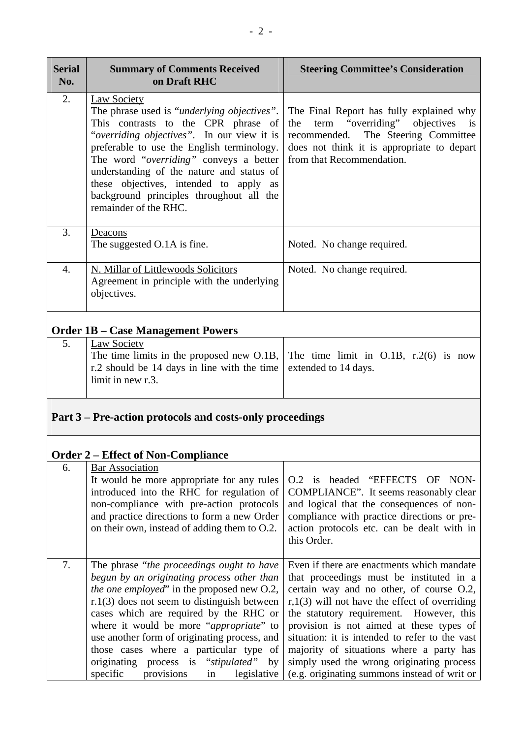| <b>Serial</b><br>No. | <b>Summary of Comments Received</b><br>on Draft RHC                                                                                                                                                                                                                                                                                                                                                                                                                       | <b>Steering Committee's Consideration</b>                                                                                                                                                                                                                                                                                                                                                                                                                                |  |
|----------------------|---------------------------------------------------------------------------------------------------------------------------------------------------------------------------------------------------------------------------------------------------------------------------------------------------------------------------------------------------------------------------------------------------------------------------------------------------------------------------|--------------------------------------------------------------------------------------------------------------------------------------------------------------------------------------------------------------------------------------------------------------------------------------------------------------------------------------------------------------------------------------------------------------------------------------------------------------------------|--|
| 2.                   | <b>Law Society</b><br>The phrase used is "underlying objectives".<br>This contrasts to the CPR phrase of<br>"overriding objectives". In our view it is<br>preferable to use the English terminology.<br>The word "overriding" conveys a better<br>understanding of the nature and status of<br>these objectives, intended to apply as<br>background principles throughout all the<br>remainder of the RHC.                                                                | The Final Report has fully explained why<br>term "overriding" objectives is<br>the<br>recommended. The Steering Committee<br>does not think it is appropriate to depart<br>from that Recommendation.                                                                                                                                                                                                                                                                     |  |
| 3.                   | Deacons<br>The suggested O.1A is fine.                                                                                                                                                                                                                                                                                                                                                                                                                                    | Noted. No change required.                                                                                                                                                                                                                                                                                                                                                                                                                                               |  |
| $\overline{4}$ .     | N. Millar of Littlewoods Solicitors<br>Agreement in principle with the underlying<br>objectives.                                                                                                                                                                                                                                                                                                                                                                          | Noted. No change required.                                                                                                                                                                                                                                                                                                                                                                                                                                               |  |
|                      | <b>Order 1B – Case Management Powers</b>                                                                                                                                                                                                                                                                                                                                                                                                                                  |                                                                                                                                                                                                                                                                                                                                                                                                                                                                          |  |
| 5.                   | <b>Law Society</b><br>The time limits in the proposed new O.1B,<br>r.2 should be 14 days in line with the time<br>limit in new r.3.                                                                                                                                                                                                                                                                                                                                       | The time limit in $O.1B$ , r.2(6) is now<br>extended to 14 days.                                                                                                                                                                                                                                                                                                                                                                                                         |  |
|                      | Part 3 – Pre-action protocols and costs-only proceedings                                                                                                                                                                                                                                                                                                                                                                                                                  |                                                                                                                                                                                                                                                                                                                                                                                                                                                                          |  |
|                      | <b>Order 2 – Effect of Non-Compliance</b>                                                                                                                                                                                                                                                                                                                                                                                                                                 |                                                                                                                                                                                                                                                                                                                                                                                                                                                                          |  |
| 6.                   | <b>Bar Association</b><br>It would be more appropriate for any rules<br>introduced into the RHC for regulation of<br>non-compliance with pre-action protocols<br>and practice directions to form a new Order<br>on their own, instead of adding them to O.2.                                                                                                                                                                                                              | O.2 is headed "EFFECTS OF NON-<br>COMPLIANCE". It seems reasonably clear<br>and logical that the consequences of non-<br>compliance with practice directions or pre-<br>action protocols etc. can be dealt with in<br>this Order.                                                                                                                                                                                                                                        |  |
| 7.                   | The phrase "the proceedings ought to have<br>begun by an originating process other than<br><i>the one employed</i> " in the proposed new O.2,<br>$r.1(3)$ does not seem to distinguish between<br>cases which are required by the RHC or<br>where it would be more "appropriate" to<br>use another form of originating process, and<br>those cases where a particular type of<br>originating process is "stipulated"<br>by<br>specific<br>provisions<br>legislative<br>in | Even if there are enactments which mandate<br>that proceedings must be instituted in a<br>certain way and no other, of course O.2,<br>$r,1(3)$ will not have the effect of overriding<br>the statutory requirement. However, this<br>provision is not aimed at these types of<br>situation: it is intended to refer to the vast<br>majority of situations where a party has<br>simply used the wrong originating process<br>(e.g. originating summons instead of writ or |  |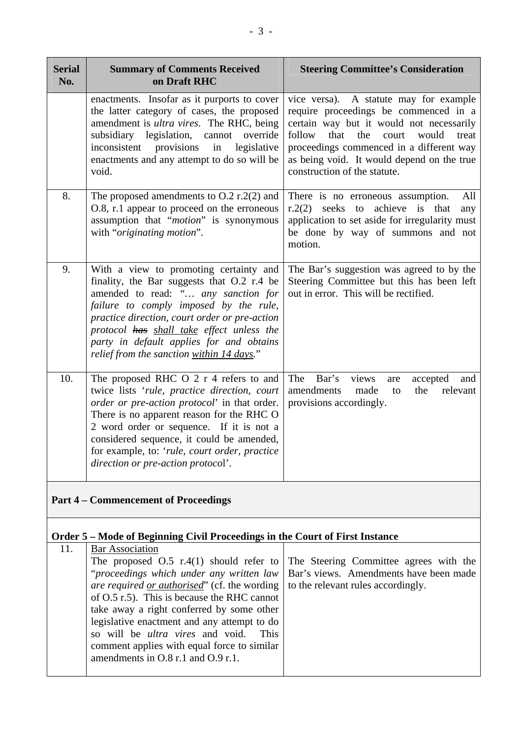| <b>Serial</b><br>No. | <b>Summary of Comments Received</b><br>on Draft RHC                                                                                                                                                                                                                                                                                                                 | <b>Steering Committee's Consideration</b>                                                                                                                                                                                                                                                                 |
|----------------------|---------------------------------------------------------------------------------------------------------------------------------------------------------------------------------------------------------------------------------------------------------------------------------------------------------------------------------------------------------------------|-----------------------------------------------------------------------------------------------------------------------------------------------------------------------------------------------------------------------------------------------------------------------------------------------------------|
|                      | enactments. Insofar as it purports to cover<br>the latter category of cases, the proposed<br>amendment is ultra vires. The RHC, being<br>subsidiary legislation, cannot override<br>inconsistent provisions<br>in<br>legislative<br>enactments and any attempt to do so will be<br>void.                                                                            | vice versa). A statute may for example<br>require proceedings be commenced in a<br>certain way but it would not necessarily<br>follow<br>that<br>the<br>court<br>would<br>treat<br>proceedings commenced in a different way<br>as being void. It would depend on the true<br>construction of the statute. |
| 8.                   | The proposed amendments to $O.2$ r.2(2) and<br>O.8, r.1 appear to proceed on the erroneous<br>assumption that "motion" is synonymous<br>with "originating motion".                                                                                                                                                                                                  | All<br>There is no erroneous assumption.<br>$r.2(2)$ seeks to achieve is that<br>any<br>application to set aside for irregularity must<br>be done by way of summons and not<br>motion.                                                                                                                    |
| 9.                   | With a view to promoting certainty and<br>finality, the Bar suggests that O.2 r.4 be<br>amended to read: " any sanction for<br>failure to comply imposed by the rule,<br>practice direction, court order or pre-action<br>protocol has shall take effect unless the<br>party in default applies for and obtains<br>relief from the sanction within 14 days."        | The Bar's suggestion was agreed to by the<br>Steering Committee but this has been left<br>out in error. This will be rectified.                                                                                                                                                                           |
| 10.                  | The proposed RHC O 2 r 4 refers to and<br>twice lists 'rule, practice direction, court<br>order or pre-action protocol' in that order.<br>There is no apparent reason for the RHC O<br>2 word order or sequence. If it is not a<br>considered sequence, it could be amended,<br>for example, to: 'rule, court order, practice<br>direction or pre-action protocol'. | The Bar's<br>views<br>accepted<br>and<br>are<br>relevant<br>amendments<br>the<br>made<br>to<br>provisions accordingly.                                                                                                                                                                                    |
|                      | <b>Part 4 – Commencement of Proceedings</b>                                                                                                                                                                                                                                                                                                                         |                                                                                                                                                                                                                                                                                                           |

#### **Order 5 – Mode of Beginning Civil Proceedings in the Court of First Instance**

| 11. | <b>Bar Association</b>                                                                  |                                                                                           |  |
|-----|-----------------------------------------------------------------------------------------|-------------------------------------------------------------------------------------------|--|
|     | The proposed $O.5$ r.4(1) should refer to The Steering Committee agrees with the        |                                                                                           |  |
|     |                                                                                         | " <i>proceedings which under any written law</i>   Bar's views. Amendments have been made |  |
|     | <i>are required or authorised</i> " (cf. the wording to the relevant rules accordingly. |                                                                                           |  |
|     | of $O.5$ r.5). This is because the RHC cannot                                           |                                                                                           |  |
|     | take away a right conferred by some other                                               |                                                                                           |  |
|     | legislative enactment and any attempt to do                                             |                                                                                           |  |
|     | so will be <i>ultra vires</i> and void.<br><b>This</b>                                  |                                                                                           |  |
|     | comment applies with equal force to similar                                             |                                                                                           |  |
|     | amendments in O.8 r.1 and O.9 r.1.                                                      |                                                                                           |  |
|     |                                                                                         |                                                                                           |  |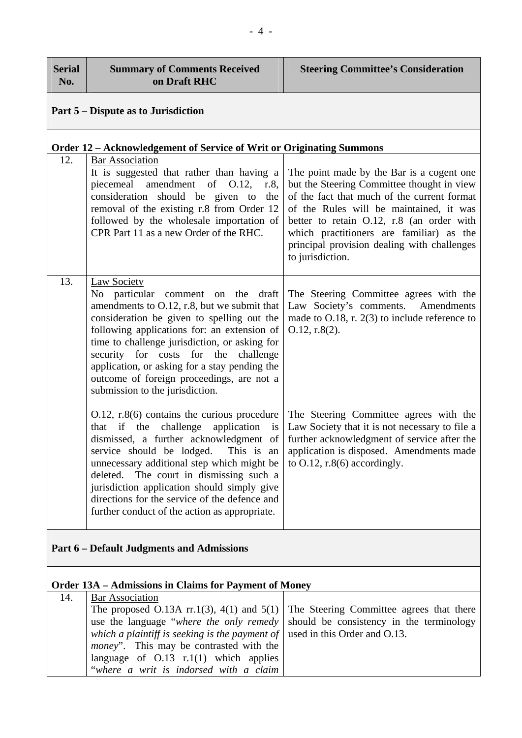| <b>Serial</b><br>No.                                         | <b>Summary of Comments Received</b><br>on Draft RHC                                                                                                                                                                                                                                                                                                                                                                           | <b>Steering Committee's Consideration</b>                                                                                                                                                                                                                                                                                                     |  |
|--------------------------------------------------------------|-------------------------------------------------------------------------------------------------------------------------------------------------------------------------------------------------------------------------------------------------------------------------------------------------------------------------------------------------------------------------------------------------------------------------------|-----------------------------------------------------------------------------------------------------------------------------------------------------------------------------------------------------------------------------------------------------------------------------------------------------------------------------------------------|--|
| Part 5 – Dispute as to Jurisdiction                          |                                                                                                                                                                                                                                                                                                                                                                                                                               |                                                                                                                                                                                                                                                                                                                                               |  |
|                                                              | Order 12 - Acknowledgement of Service of Writ or Originating Summons                                                                                                                                                                                                                                                                                                                                                          |                                                                                                                                                                                                                                                                                                                                               |  |
| 12.                                                          | <b>Bar Association</b><br>It is suggested that rather than having a<br>piecemeal amendment of O.12, r.8,<br>consideration should be given to the<br>removal of the existing r.8 from Order 12<br>followed by the wholesale importation of<br>CPR Part 11 as a new Order of the RHC.                                                                                                                                           | The point made by the Bar is a cogent one<br>but the Steering Committee thought in view<br>of the fact that much of the current format<br>of the Rules will be maintained, it was<br>better to retain O.12, r.8 (an order with<br>which practitioners are familiar) as the<br>principal provision dealing with challenges<br>to jurisdiction. |  |
| 13.                                                          | Law Society<br>No particular<br>comment on<br>the draft<br>amendments to O.12, r.8, but we submit that<br>consideration be given to spelling out the<br>following applications for: an extension of<br>time to challenge jurisdiction, or asking for<br>security for costs for the challenge<br>application, or asking for a stay pending the<br>outcome of foreign proceedings, are not a<br>submission to the jurisdiction. | The Steering Committee agrees with the<br>Law Society's comments. Amendments<br>made to $O.18$ , r. $2(3)$ to include reference to<br>$0.12$ , r.8 $(2)$ .                                                                                                                                                                                    |  |
|                                                              | $0.12$ , r.8(6) contains the curious procedure<br>that if the challenge application<br>is<br>dismissed, a further acknowledgment of<br>service should be lodged. This is an<br>unnecessary additional step which might be<br>deleted. The court in dismissing such a<br>jurisdiction application should simply give<br>directions for the service of the defence and<br>further conduct of the action as appropriate.         | The Steering Committee agrees with the<br>Law Society that it is not necessary to file a<br>further acknowledgment of service after the<br>application is disposed. Amendments made<br>to $O.12$ , r.8(6) accordingly.                                                                                                                        |  |
| <b>Part 6 – Default Judgments and Admissions</b>             |                                                                                                                                                                                                                                                                                                                                                                                                                               |                                                                                                                                                                                                                                                                                                                                               |  |
| <b>Order 13A – Admissions in Claims for Payment of Money</b> |                                                                                                                                                                                                                                                                                                                                                                                                                               |                                                                                                                                                                                                                                                                                                                                               |  |
| 14.                                                          | <b>Bar Association</b><br>The proposed O.13A $rr.1(3)$ , 4(1) and 5(1)<br>use the language "where the only remedy<br>which a plaintiff is seeking is the payment of<br><i>money</i> ". This may be contrasted with the<br>language of $O.13$ r.1(1) which applies<br>"where a writ is indorsed with a claim                                                                                                                   | The Steering Committee agrees that there<br>should be consistency in the terminology<br>used in this Order and O.13.                                                                                                                                                                                                                          |  |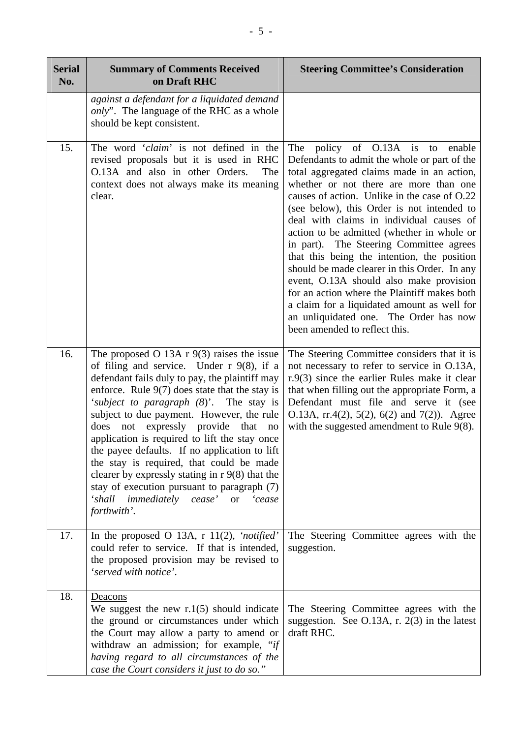| <b>Serial</b><br>No. | <b>Summary of Comments Received</b><br>on Draft RHC                                                                                                                                                                                                                                                                                                                                                                                                                                                                                                                                                                                        | <b>Steering Committee's Consideration</b>                                                                                                                                                                                                                                                                                                                                                                                                                                                                                                                                                                                                                                                                                          |
|----------------------|--------------------------------------------------------------------------------------------------------------------------------------------------------------------------------------------------------------------------------------------------------------------------------------------------------------------------------------------------------------------------------------------------------------------------------------------------------------------------------------------------------------------------------------------------------------------------------------------------------------------------------------------|------------------------------------------------------------------------------------------------------------------------------------------------------------------------------------------------------------------------------------------------------------------------------------------------------------------------------------------------------------------------------------------------------------------------------------------------------------------------------------------------------------------------------------------------------------------------------------------------------------------------------------------------------------------------------------------------------------------------------------|
|                      | against a defendant for a liquidated demand<br><i>only</i> ". The language of the RHC as a whole<br>should be kept consistent.                                                                                                                                                                                                                                                                                                                                                                                                                                                                                                             |                                                                                                                                                                                                                                                                                                                                                                                                                                                                                                                                                                                                                                                                                                                                    |
| 15.                  | The word 'claim' is not defined in the<br>revised proposals but it is used in RHC<br>O.13A and also in other Orders.<br>The<br>context does not always make its meaning<br>clear.                                                                                                                                                                                                                                                                                                                                                                                                                                                          | The policy of O.13A is to<br>enable<br>Defendants to admit the whole or part of the<br>total aggregated claims made in an action,<br>whether or not there are more than one<br>causes of action. Unlike in the case of O.22<br>(see below), this Order is not intended to<br>deal with claims in individual causes of<br>action to be admitted (whether in whole or<br>in part). The Steering Committee agrees<br>that this being the intention, the position<br>should be made clearer in this Order. In any<br>event, O.13A should also make provision<br>for an action where the Plaintiff makes both<br>a claim for a liquidated amount as well for<br>an unliquidated one. The Order has now<br>been amended to reflect this. |
| 16.                  | The proposed O 13A $r$ 9(3) raises the issue<br>of filing and service. Under $r$ 9(8), if a<br>defendant fails duly to pay, the plaintiff may<br>enforce. Rule $9(7)$ does state that the stay is<br>'subject to paragraph (8)'. The stay is<br>subject to due payment. However, the rule<br>does not expressly provide that no<br>application is required to lift the stay once<br>the payee defaults. If no application to lift<br>the stay is required, that could be made<br>clearer by expressly stating in $r$ 9(8) that the<br>stay of execution pursuant to paragraph (7)<br>'shall immediately cease' or<br>'cease<br>forthwith'. | The Steering Committee considers that it is<br>not necessary to refer to service in O.13A,<br>$r.9(3)$ since the earlier Rules make it clear<br>that when filling out the appropriate Form, a<br>Defendant must file and serve it (see<br>O.13A, $rr.4(2)$ , 5(2), 6(2) and 7(2)). Agree<br>with the suggested amendment to Rule 9(8).                                                                                                                                                                                                                                                                                                                                                                                             |
| 17.                  | In the proposed O 13A, $r$ 11(2), <i>'notified'</i><br>could refer to service. If that is intended,<br>the proposed provision may be revised to<br>'served with notice'.                                                                                                                                                                                                                                                                                                                                                                                                                                                                   | The Steering Committee agrees with the<br>suggestion.                                                                                                                                                                                                                                                                                                                                                                                                                                                                                                                                                                                                                                                                              |
| 18.                  | Deacons<br>We suggest the new $r \cdot 1(5)$ should indicate<br>the ground or circumstances under which<br>the Court may allow a party to amend or<br>withdraw an admission; for example, "if<br>having regard to all circumstances of the<br>case the Court considers it just to do so."                                                                                                                                                                                                                                                                                                                                                  | The Steering Committee agrees with the<br>suggestion. See O.13A, r. $2(3)$ in the latest<br>draft RHC.                                                                                                                                                                                                                                                                                                                                                                                                                                                                                                                                                                                                                             |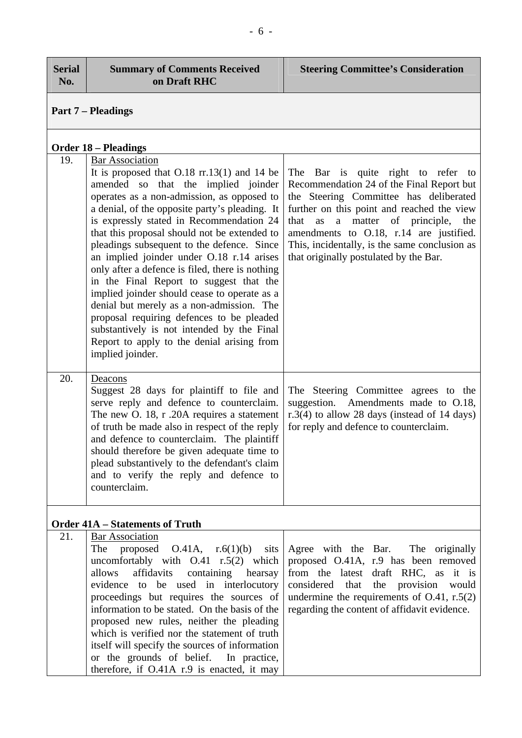| <b>Serial</b><br>No. | <b>Summary of Comments Received</b><br>on Draft RHC                                                                                                                                                                                                                                                                                                                                                                                                                                                                                                                                                                                                                                                                                                           | <b>Steering Committee's Consideration</b>                                                                                                                                                                                                                                                                                                                 |  |
|----------------------|---------------------------------------------------------------------------------------------------------------------------------------------------------------------------------------------------------------------------------------------------------------------------------------------------------------------------------------------------------------------------------------------------------------------------------------------------------------------------------------------------------------------------------------------------------------------------------------------------------------------------------------------------------------------------------------------------------------------------------------------------------------|-----------------------------------------------------------------------------------------------------------------------------------------------------------------------------------------------------------------------------------------------------------------------------------------------------------------------------------------------------------|--|
|                      | <b>Part 7 – Pleadings</b>                                                                                                                                                                                                                                                                                                                                                                                                                                                                                                                                                                                                                                                                                                                                     |                                                                                                                                                                                                                                                                                                                                                           |  |
|                      | <b>Order 18 – Pleadings</b>                                                                                                                                                                                                                                                                                                                                                                                                                                                                                                                                                                                                                                                                                                                                   |                                                                                                                                                                                                                                                                                                                                                           |  |
| 19.                  | <b>Bar Association</b><br>It is proposed that $0.18$ rr.13(1) and 14 be<br>amended so that the implied joinder<br>operates as a non-admission, as opposed to<br>a denial, of the opposite party's pleading. It<br>is expressly stated in Recommendation 24<br>that this proposal should not be extended to<br>pleadings subsequent to the defence. Since<br>an implied joinder under O.18 r.14 arises<br>only after a defence is filed, there is nothing<br>in the Final Report to suggest that the<br>implied joinder should cease to operate as a<br>denial but merely as a non-admission. The<br>proposal requiring defences to be pleaded<br>substantively is not intended by the Final<br>Report to apply to the denial arising from<br>implied joinder. | The Bar is quite right to refer to<br>Recommendation 24 of the Final Report but<br>the Steering Committee has deliberated<br>further on this point and reached the view<br>that<br>a matter of principle, the<br>as<br>amendments to O.18, r.14 are justified.<br>This, incidentally, is the same conclusion as<br>that originally postulated by the Bar. |  |
| 20.                  | Deacons<br>Suggest 28 days for plaintiff to file and<br>serve reply and defence to counterclaim.<br>The new O. 18, r .20A requires a statement<br>of truth be made also in respect of the reply<br>and defence to counterclaim. The plaintiff<br>should therefore be given adequate time to<br>plead substantively to the defendant's claim<br>and to verify the reply and defence to<br>counterclaim.                                                                                                                                                                                                                                                                                                                                                        | The Steering Committee agrees to the<br>suggestion. Amendments made to O.18,<br>r.3(4) to allow 28 days (instead of 14 days)<br>for reply and defence to counterclaim.                                                                                                                                                                                    |  |
|                      | <b>Order 41A – Statements of Truth</b>                                                                                                                                                                                                                                                                                                                                                                                                                                                                                                                                                                                                                                                                                                                        |                                                                                                                                                                                                                                                                                                                                                           |  |
| 21.                  | <b>Bar Association</b><br>The<br>proposed $O.41A$ , $r.6(1)(b)$<br>sits<br>uncomfortably with $O.41$ r.5(2) which<br>allows<br>affidavits containing hearsay<br>evidence to be used in interlocutory<br>proceedings but requires the sources of<br>information to be stated. On the basis of the<br>proposed new rules, neither the pleading<br>which is verified nor the statement of truth<br>itself will specify the sources of information<br>or the grounds of belief. In practice,<br>therefore, if O.41A r.9 is enacted, it may                                                                                                                                                                                                                        | Agree with the Bar. The originally<br>proposed O.41A, r.9 has been removed<br>from the latest draft RHC, as it is<br>considered that<br>the provision<br>would<br>undermine the requirements of $O.41$ , r.5(2)<br>regarding the content of affidavit evidence.                                                                                           |  |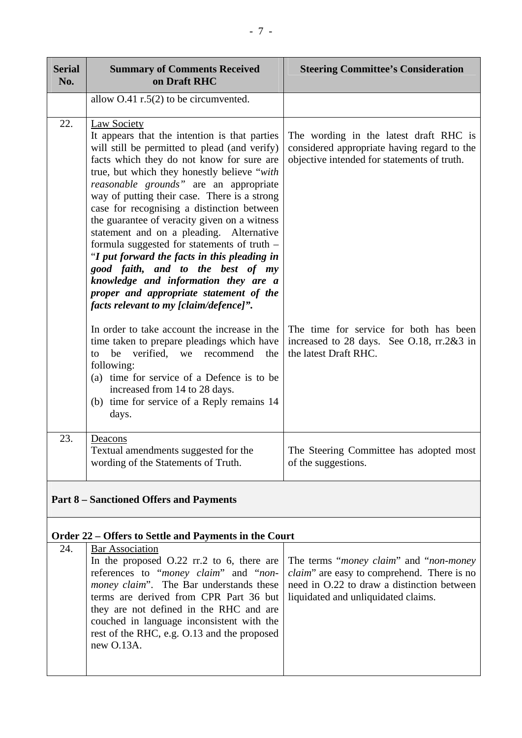| <b>Serial</b><br>No. | <b>Summary of Comments Received</b><br>on Draft RHC                                                                                                                                                                                                                                                                                                                                                                                                                                                                                                                                                                                                                                                                   | <b>Steering Committee's Consideration</b>                                                                                            |
|----------------------|-----------------------------------------------------------------------------------------------------------------------------------------------------------------------------------------------------------------------------------------------------------------------------------------------------------------------------------------------------------------------------------------------------------------------------------------------------------------------------------------------------------------------------------------------------------------------------------------------------------------------------------------------------------------------------------------------------------------------|--------------------------------------------------------------------------------------------------------------------------------------|
|                      | allow $O.41$ r.5(2) to be circumvented.                                                                                                                                                                                                                                                                                                                                                                                                                                                                                                                                                                                                                                                                               |                                                                                                                                      |
| 22.                  | <b>Law Society</b><br>It appears that the intention is that parties<br>will still be permitted to plead (and verify)<br>facts which they do not know for sure are<br>true, but which they honestly believe "with<br>reasonable grounds" are an appropriate<br>way of putting their case. There is a strong<br>case for recognising a distinction between<br>the guarantee of veracity given on a witness<br>statement and on a pleading. Alternative<br>formula suggested for statements of truth -<br>"I put forward the facts in this pleading in<br>good faith, and to the best of my<br>knowledge and information they are a<br>proper and appropriate statement of the<br>facts relevant to my [claim/defence]". | The wording in the latest draft RHC is<br>considered appropriate having regard to the<br>objective intended for statements of truth. |
|                      | In order to take account the increase in the<br>time taken to prepare pleadings which have<br>verified, we recommend<br>be<br>the<br>to<br>following:<br>(a) time for service of a Defence is to be<br>increased from 14 to 28 days.<br>(b) time for service of a Reply remains 14<br>days.                                                                                                                                                                                                                                                                                                                                                                                                                           | The time for service for both has been<br>increased to 28 days. See O.18, rr.2&3 in<br>the latest Draft RHC.                         |
| 23.                  | Deacons<br>Textual amendments suggested for the<br>wording of the Statements of Truth.                                                                                                                                                                                                                                                                                                                                                                                                                                                                                                                                                                                                                                | The Steering Committee has adopted most<br>of the suggestions.                                                                       |

## **Part 8 – Sanctioned Offers and Payments**

### **Order 22 – Offers to Settle and Payments in the Court**

| 24. | <b>Bar Association</b>                                                                                                                                                                                                                                                                                                                                                                                                                                                                                                         |  |
|-----|--------------------------------------------------------------------------------------------------------------------------------------------------------------------------------------------------------------------------------------------------------------------------------------------------------------------------------------------------------------------------------------------------------------------------------------------------------------------------------------------------------------------------------|--|
|     | In the proposed $0.22$ rr.2 to 6, there are The terms " <i>money claim</i> " and " <i>non-money</i><br>references to "money claim" and "non-   claim" are easy to comprehend. There is no<br><i>money claim</i> ". The Bar understands these   need in O.22 to draw a distinction between<br>terms are derived from CPR Part 36 but   liquidated and unliquidated claims.<br>they are not defined in the RHC and are<br>couched in language inconsistent with the<br>rest of the RHC, e.g. O.13 and the proposed<br>new O.13A. |  |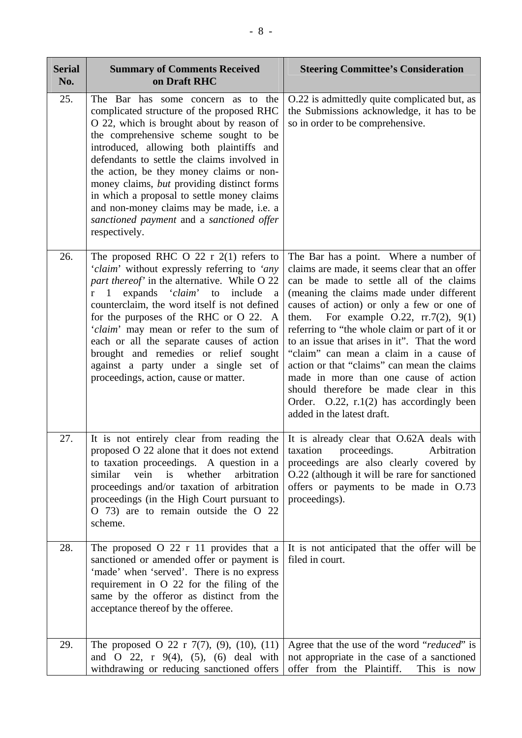| <b>Serial</b><br>No. | <b>Summary of Comments Received</b><br>on Draft RHC                                                                                                                                                                                                                                                                                                                                                                                                                                                                | <b>Steering Committee's Consideration</b>                                                                                                                                                                                                                                                                                                                                                                                                                                                                                                                                                                                                |
|----------------------|--------------------------------------------------------------------------------------------------------------------------------------------------------------------------------------------------------------------------------------------------------------------------------------------------------------------------------------------------------------------------------------------------------------------------------------------------------------------------------------------------------------------|------------------------------------------------------------------------------------------------------------------------------------------------------------------------------------------------------------------------------------------------------------------------------------------------------------------------------------------------------------------------------------------------------------------------------------------------------------------------------------------------------------------------------------------------------------------------------------------------------------------------------------------|
| 25.                  | The Bar has some concern as to the<br>complicated structure of the proposed RHC<br>O 22, which is brought about by reason of<br>the comprehensive scheme sought to be<br>introduced, allowing both plaintiffs and<br>defendants to settle the claims involved in<br>the action, be they money claims or non-<br>money claims, but providing distinct forms<br>in which a proposal to settle money claims<br>and non-money claims may be made, i.e. a<br>sanctioned payment and a sanctioned offer<br>respectively. | O.22 is admittedly quite complicated but, as<br>the Submissions acknowledge, it has to be<br>so in order to be comprehensive.                                                                                                                                                                                                                                                                                                                                                                                                                                                                                                            |
| 26.                  | The proposed RHC O 22 r $2(1)$ refers to<br>'claim' without expressly referring to 'any<br>part thereof' in the alternative. While O 22<br>r 1 expands 'claim' to include<br><sub>a</sub><br>counterclaim, the word itself is not defined<br>for the purposes of the RHC or O 22. A<br>'claim' may mean or refer to the sum of<br>each or all the separate causes of action<br>brought and remedies or relief sought<br>against a party under a single set of<br>proceedings, action, cause or matter.             | The Bar has a point. Where a number of<br>claims are made, it seems clear that an offer<br>can be made to settle all of the claims<br>(meaning the claims made under different<br>causes of action) or only a few or one of<br>For example $0.22$ , rr.7(2), 9(1)<br>them.<br>referring to "the whole claim or part of it or<br>to an issue that arises in it". That the word<br>"claim" can mean a claim in a cause of<br>action or that "claims" can mean the claims<br>made in more than one cause of action<br>should therefore be made clear in this<br>Order. $O.22$ , $r.1(2)$ has accordingly been<br>added in the latest draft. |
| 27.                  | to taxation proceedings. A question in a<br>similar<br>whether<br>vein<br>is<br>arbitration<br>proceedings and/or taxation of arbitration<br>proceedings (in the High Court pursuant to<br>O 73) are to remain outside the O 22<br>scheme.                                                                                                                                                                                                                                                                         | It is not entirely clear from reading the $\vert$ It is already clear that O.62A deals with<br>proposed O 22 alone that it does not extend   taxation proceedings. Arbitration<br>proceedings are also clearly covered by<br>O.22 (although it will be rare for sanctioned<br>offers or payments to be made in O.73<br>proceedings).                                                                                                                                                                                                                                                                                                     |
| 28.                  | The proposed $O$ 22 r 11 provides that a<br>sanctioned or amended offer or payment is<br>'made' when 'served'. There is no express<br>requirement in O 22 for the filing of the<br>same by the offeror as distinct from the<br>acceptance thereof by the offeree.                                                                                                                                                                                                                                                  | It is not anticipated that the offer will be<br>filed in court.                                                                                                                                                                                                                                                                                                                                                                                                                                                                                                                                                                          |
| 29.                  | The proposed O 22 r $7(7)$ , (9), (10), (11)<br>and O 22, $r$ 9(4), (5), (6) deal with<br>withdrawing or reducing sanctioned offers                                                                                                                                                                                                                                                                                                                                                                                | Agree that the use of the word "reduced" is<br>not appropriate in the case of a sanctioned<br>offer from the Plaintiff.<br>This is now                                                                                                                                                                                                                                                                                                                                                                                                                                                                                                   |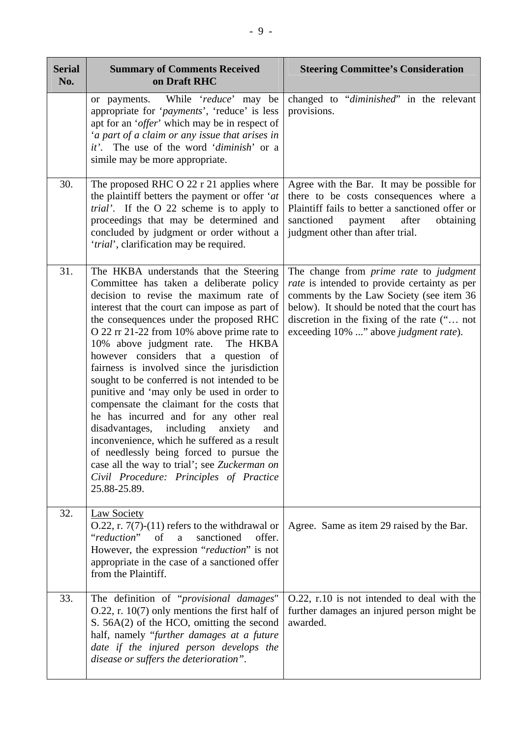| <b>Serial</b><br>No. | <b>Summary of Comments Received</b><br>on Draft RHC                                                                                                                                                                                                                                                                                                                                                                                                                                                                                                                                                                                                                                                                                                                                                                                       | <b>Steering Committee's Consideration</b>                                                                                                                                                                                                                                                 |
|----------------------|-------------------------------------------------------------------------------------------------------------------------------------------------------------------------------------------------------------------------------------------------------------------------------------------------------------------------------------------------------------------------------------------------------------------------------------------------------------------------------------------------------------------------------------------------------------------------------------------------------------------------------------------------------------------------------------------------------------------------------------------------------------------------------------------------------------------------------------------|-------------------------------------------------------------------------------------------------------------------------------------------------------------------------------------------------------------------------------------------------------------------------------------------|
|                      | or payments. While 'reduce' may be<br>appropriate for ' <i>payments</i> ', 'reduce' is less<br>apt for an ' <i>offer</i> ' which may be in respect of<br>'a part of a claim or any issue that arises in<br>it'. The use of the word 'diminish' or a<br>simile may be more appropriate.                                                                                                                                                                                                                                                                                                                                                                                                                                                                                                                                                    | changed to "diminished" in the relevant<br>provisions.                                                                                                                                                                                                                                    |
| 30.                  | The proposed RHC O $22 r 21$ applies where<br>the plaintiff betters the payment or offer 'at<br><i>trial'</i> . If the O 22 scheme is to apply to<br>proceedings that may be determined and<br>concluded by judgment or order without a<br>'trial', clarification may be required.                                                                                                                                                                                                                                                                                                                                                                                                                                                                                                                                                        | Agree with the Bar. It may be possible for<br>there to be costs consequences where a<br>Plaintiff fails to better a sanctioned offer or<br>sanctioned<br>payment<br>after<br>obtaining<br>judgment other than after trial.                                                                |
| 31.                  | The HKBA understands that the Steering<br>Committee has taken a deliberate policy<br>decision to revise the maximum rate of<br>interest that the court can impose as part of<br>the consequences under the proposed RHC<br>O 22 rr 21-22 from 10% above prime rate to<br>10% above judgment rate. The HKBA<br>however considers that a question of<br>fairness is involved since the jurisdiction<br>sought to be conferred is not intended to be<br>punitive and 'may only be used in order to<br>compensate the claimant for the costs that<br>he has incurred and for any other real<br>disadvantages, including anxiety<br>and<br>inconvenience, which he suffered as a result<br>of needlessly being forced to pursue the<br>case all the way to trial'; see Zuckerman on<br>Civil Procedure: Principles of Practice<br>25.88-25.89. | The change from <i>prime rate</i> to <i>judgment</i><br>rate is intended to provide certainty as per<br>comments by the Law Society (see item 36<br>below). It should be noted that the court has<br>discretion in the fixing of the rate (" not<br>exceeding 10% " above judgment rate). |
| 32.                  | <b>Law Society</b><br>$O.22$ , r. 7(7)-(11) refers to the withdrawal or<br>"reduction"<br>of<br>sanctioned<br>a<br>offer.<br>However, the expression "reduction" is not<br>appropriate in the case of a sanctioned offer<br>from the Plaintiff.                                                                                                                                                                                                                                                                                                                                                                                                                                                                                                                                                                                           | Agree. Same as item 29 raised by the Bar.                                                                                                                                                                                                                                                 |
| 33.                  | The definition of "provisional damages"<br>$O.22$ , r. 10(7) only mentions the first half of<br>S. 56A(2) of the HCO, omitting the second<br>half, namely "further damages at a future<br>date if the injured person develops the<br>disease or suffers the deterioration".                                                                                                                                                                                                                                                                                                                                                                                                                                                                                                                                                               | O.22, r.10 is not intended to deal with the<br>further damages an injured person might be<br>awarded.                                                                                                                                                                                     |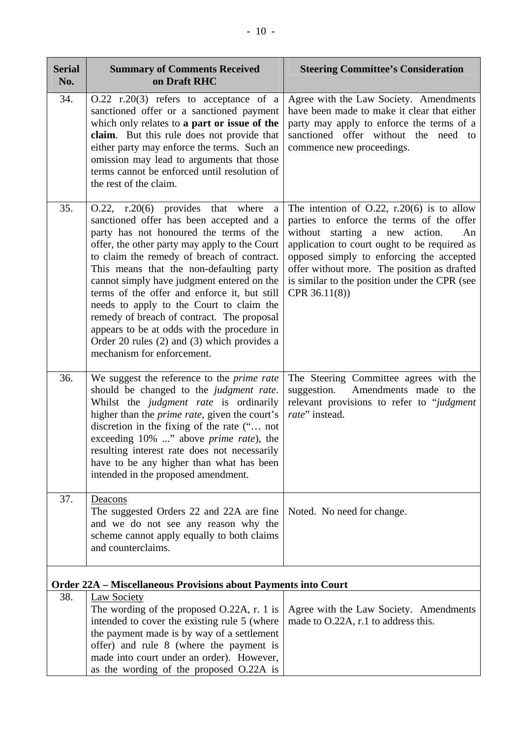| <b>Serial</b><br>No. | <b>Summary of Comments Received</b><br>on Draft RHC                                                                                                                                                                                                                                                                                                                                                                                                                                                                                                                                                        | <b>Steering Committee's Consideration</b>                                                                                                                                                                                                                                                                                                          |
|----------------------|------------------------------------------------------------------------------------------------------------------------------------------------------------------------------------------------------------------------------------------------------------------------------------------------------------------------------------------------------------------------------------------------------------------------------------------------------------------------------------------------------------------------------------------------------------------------------------------------------------|----------------------------------------------------------------------------------------------------------------------------------------------------------------------------------------------------------------------------------------------------------------------------------------------------------------------------------------------------|
| 34.                  | $O.22$ r.20(3) refers to acceptance of a<br>sanctioned offer or a sanctioned payment<br>which only relates to a part or issue of the<br>claim. But this rule does not provide that<br>either party may enforce the terms. Such an<br>omission may lead to arguments that those<br>terms cannot be enforced until resolution of<br>the rest of the claim.                                                                                                                                                                                                                                                   | Agree with the Law Society. Amendments<br>have been made to make it clear that either<br>party may apply to enforce the terms of a<br>sanctioned offer without the need to<br>commence new proceedings.                                                                                                                                            |
| 35.                  | $0.22$ , r.20(6) provides that where<br>$\rm{a}$<br>sanctioned offer has been accepted and a<br>party has not honoured the terms of the<br>offer, the other party may apply to the Court<br>to claim the remedy of breach of contract.<br>This means that the non-defaulting party<br>cannot simply have judgment entered on the<br>terms of the offer and enforce it, but still<br>needs to apply to the Court to claim the<br>remedy of breach of contract. The proposal<br>appears to be at odds with the procedure in<br>Order 20 rules $(2)$ and $(3)$ which provides a<br>mechanism for enforcement. | The intention of $O.22$ , r.20(6) is to allow<br>parties to enforce the terms of the offer<br>without starting a new action.<br>An<br>application to court ought to be required as<br>opposed simply to enforcing the accepted<br>offer without more. The position as drafted<br>is similar to the position under the CPR (see<br>CPR $36.11(8)$ ) |
| 36.                  | We suggest the reference to the prime rate<br>should be changed to the judgment rate.<br>Whilst the <i>judgment rate</i> is ordinarily<br>higher than the <i>prime rate</i> , given the court's<br>discretion in the fixing of the rate (" not<br>exceeding 10% " above <i>prime rate</i> ), the<br>resulting interest rate does not necessarily<br>have to be any higher than what has been<br>intended in the proposed amendment.                                                                                                                                                                        | The Steering Committee agrees with the<br>suggestion.<br>Amendments made to the<br>relevant provisions to refer to "judgment<br>rate" instead.                                                                                                                                                                                                     |
| 37.                  | Deacons<br>The suggested Orders 22 and 22A are fine<br>and we do not see any reason why the<br>scheme cannot apply equally to both claims<br>and counterclaims.                                                                                                                                                                                                                                                                                                                                                                                                                                            | Noted. No need for change.                                                                                                                                                                                                                                                                                                                         |
|                      | <b>Order 22A - Miscellaneous Provisions about Payments into Court</b>                                                                                                                                                                                                                                                                                                                                                                                                                                                                                                                                      |                                                                                                                                                                                                                                                                                                                                                    |
| 38.                  | <b>Law Society</b><br>The wording of the proposed $O.22A$ , r. 1 is<br>intended to cover the existing rule 5 (where<br>the payment made is by way of a settlement<br>offer) and rule 8 (where the payment is<br>made into court under an order). However,<br>as the wording of the proposed O.22A is                                                                                                                                                                                                                                                                                                       | Agree with the Law Society. Amendments<br>made to O.22A, r.1 to address this.                                                                                                                                                                                                                                                                      |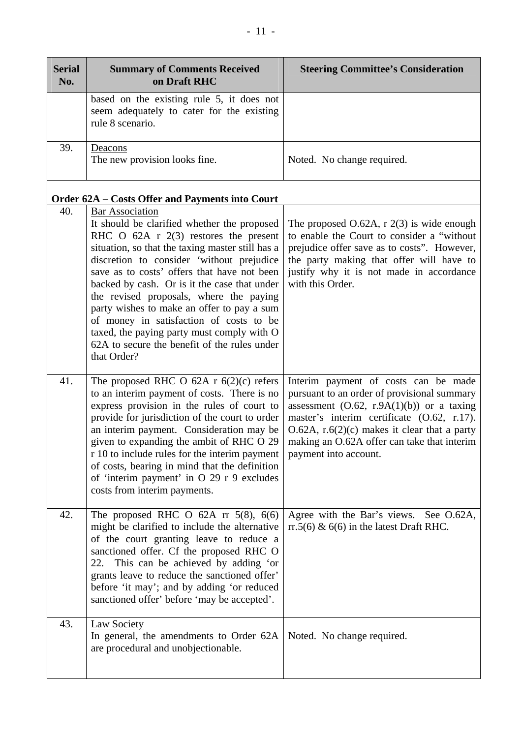| <b>Serial</b><br>No. | <b>Summary of Comments Received</b><br>on Draft RHC                                                                                                                                                                                                                                                                                                                                                                                                                                                                                                                          | <b>Steering Committee's Consideration</b>                                                                                                                                                                                                                                                                   |
|----------------------|------------------------------------------------------------------------------------------------------------------------------------------------------------------------------------------------------------------------------------------------------------------------------------------------------------------------------------------------------------------------------------------------------------------------------------------------------------------------------------------------------------------------------------------------------------------------------|-------------------------------------------------------------------------------------------------------------------------------------------------------------------------------------------------------------------------------------------------------------------------------------------------------------|
|                      | based on the existing rule 5, it does not<br>seem adequately to cater for the existing<br>rule 8 scenario.                                                                                                                                                                                                                                                                                                                                                                                                                                                                   |                                                                                                                                                                                                                                                                                                             |
| 39.                  | Deacons<br>The new provision looks fine.                                                                                                                                                                                                                                                                                                                                                                                                                                                                                                                                     | Noted. No change required.                                                                                                                                                                                                                                                                                  |
|                      | <b>Order 62A – Costs Offer and Payments into Court</b>                                                                                                                                                                                                                                                                                                                                                                                                                                                                                                                       |                                                                                                                                                                                                                                                                                                             |
| 40.                  | <b>Bar Association</b><br>It should be clarified whether the proposed<br>RHC $\overline{O}$ 62A r 2(3) restores the present<br>situation, so that the taxing master still has a<br>discretion to consider 'without prejudice<br>save as to costs' offers that have not been<br>backed by cash. Or is it the case that under<br>the revised proposals, where the paying<br>party wishes to make an offer to pay a sum<br>of money in satisfaction of costs to be<br>taxed, the paying party must comply with O<br>62A to secure the benefit of the rules under<br>that Order? | The proposed $O.62A$ , r $2(3)$ is wide enough<br>to enable the Court to consider a "without<br>prejudice offer save as to costs". However,<br>the party making that offer will have to<br>justify why it is not made in accordance<br>with this Order.                                                     |
| 41.                  | The proposed RHC O 62A r $6(2)(c)$ refers<br>to an interim payment of costs. There is no<br>express provision in the rules of court to<br>provide for jurisdiction of the court to order<br>an interim payment. Consideration may be<br>given to expanding the ambit of RHC O 29<br>r 10 to include rules for the interim payment<br>of costs, bearing in mind that the definition<br>of 'interim payment' in O 29 r 9 excludes<br>costs from interim payments.                                                                                                              | Interim payment of costs can be made<br>pursuant to an order of provisional summary<br>assessment $(O.62, r.9A(1)(b))$ or a taxing<br>master's interim certificate (O.62, r.17).<br>$O.62A$ , r.6(2)(c) makes it clear that a party<br>making an O.62A offer can take that interim<br>payment into account. |
| 42.                  | The proposed RHC O $62A$ rr $5(8)$ , $6(6)$<br>might be clarified to include the alternative<br>of the court granting leave to reduce a<br>sanctioned offer. Cf the proposed RHC O<br>22. This can be achieved by adding 'or<br>grants leave to reduce the sanctioned offer'<br>before 'it may'; and by adding 'or reduced<br>sanctioned offer' before 'may be accepted'.                                                                                                                                                                                                    | Agree with the Bar's views. See O.62A,<br>rr.5(6) $\&$ 6(6) in the latest Draft RHC.                                                                                                                                                                                                                        |
| 43.                  | <b>Law Society</b><br>In general, the amendments to Order 62A<br>are procedural and unobjectionable.                                                                                                                                                                                                                                                                                                                                                                                                                                                                         | Noted. No change required.                                                                                                                                                                                                                                                                                  |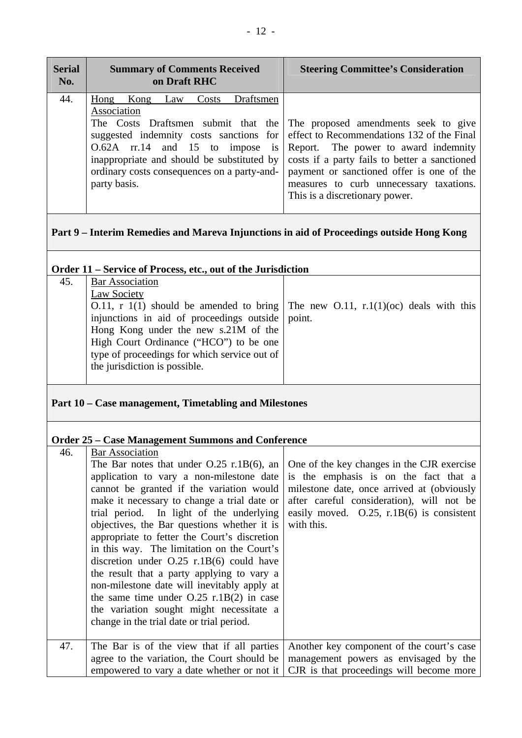| <b>Serial</b><br>No. | <b>Summary of Comments Received</b><br>on Draft RHC                                                                                                                                                                                                 | <b>Steering Committee's Consideration</b>                                                                                                                                                                                                                                                                                                 |
|----------------------|-----------------------------------------------------------------------------------------------------------------------------------------------------------------------------------------------------------------------------------------------------|-------------------------------------------------------------------------------------------------------------------------------------------------------------------------------------------------------------------------------------------------------------------------------------------------------------------------------------------|
| 44.                  | Draftsmen<br>Kong<br>Costs<br>Hong<br>Law<br>Association<br>suggested indemnity costs sanctions for<br>O.62A rr.14 and 15 to impose is<br>inappropriate and should be substituted by<br>ordinary costs consequences on a party-and-<br>party basis. | The Costs Draftsmen submit that the The proposed amendments seek to give<br>effect to Recommendations 132 of the Final<br>Report. The power to award indemnity<br>costs if a party fails to better a sanctioned<br>payment or sanctioned offer is one of the<br>measures to curb unnecessary taxations.<br>This is a discretionary power. |

# **Part 9 – Interim Remedies and Mareva Injunctions in aid of Proceedings outside Hong Kong**

| Order 11 – Service of Process, etc., out of the Jurisdiction |                                                                                                                                                                                                                                                                                                                                           |        |  |
|--------------------------------------------------------------|-------------------------------------------------------------------------------------------------------------------------------------------------------------------------------------------------------------------------------------------------------------------------------------------------------------------------------------------|--------|--|
| 45.                                                          | <b>Bar Association</b><br>Law Society<br>0.11, r 1(1) should be amended to bring The new O.11, r.1(1)(oc) deals with this<br>injunctions in aid of proceedings outside<br>Hong Kong under the new s.21M of the<br>High Court Ordinance ("HCO") to be one<br>type of proceedings for which service out of<br>the jurisdiction is possible. | point. |  |
| Part 10 – Case management, Timetabling and Milestones        |                                                                                                                                                                                                                                                                                                                                           |        |  |
| <b>Order 25 – Case Management Summons and Conference</b>     |                                                                                                                                                                                                                                                                                                                                           |        |  |

#### **Order 25 – Case Management Summons and Conference**

| 46. | <b>Bar Association</b>                       |                                              |
|-----|----------------------------------------------|----------------------------------------------|
|     | The Bar notes that under $O.25$ r.1B(6), an  | One of the key changes in the CJR exercise   |
|     | application to vary a non-milestone date     | is the emphasis is on the fact that a        |
|     | cannot be granted if the variation would     | milestone date, once arrived at (obviously   |
|     | make it necessary to change a trial date or  | after careful consideration), will not be    |
|     | trial period. In light of the underlying     | easily moved. $0.25$ , r.1B(6) is consistent |
|     | objectives, the Bar questions whether it is  | with this.                                   |
|     | appropriate to fetter the Court's discretion |                                              |
|     | in this way. The limitation on the Court's   |                                              |
|     | discretion under $O.25$ r.1B(6) could have   |                                              |
|     | the result that a party applying to vary a   |                                              |
|     | non-milestone date will inevitably apply at  |                                              |
|     | the same time under $0.25$ r.1B(2) in case   |                                              |
|     | the variation sought might necessitate a     |                                              |
|     | change in the trial date or trial period.    |                                              |
|     |                                              |                                              |
| 47. | The Bar is of the view that if all parties   | Another key component of the court's case    |
|     | agree to the variation, the Court should be  | management powers as envisaged by the        |
|     | empowered to vary a date whether or not it   | CJR is that proceedings will become more     |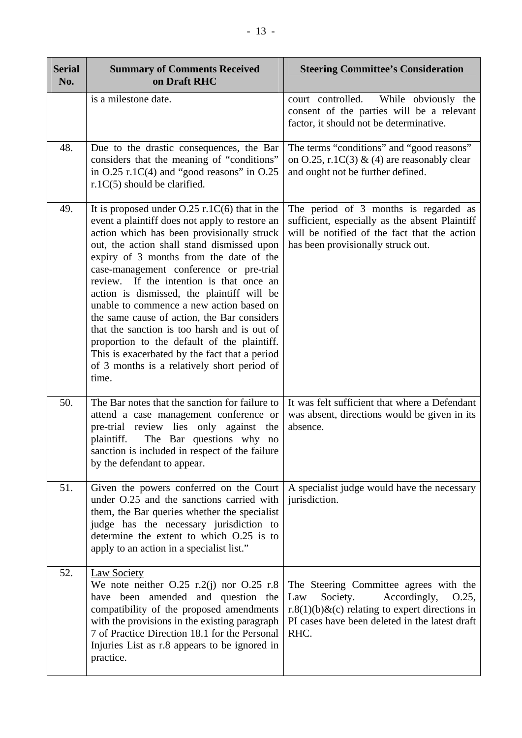| <b>Serial</b><br>No. | <b>Summary of Comments Received</b><br>on Draft RHC                                                                                                                                                                                                                                                                                                                                                                                                                                                                                                                                                                                                                                 | <b>Steering Committee's Consideration</b>                                                                                                                                                      |
|----------------------|-------------------------------------------------------------------------------------------------------------------------------------------------------------------------------------------------------------------------------------------------------------------------------------------------------------------------------------------------------------------------------------------------------------------------------------------------------------------------------------------------------------------------------------------------------------------------------------------------------------------------------------------------------------------------------------|------------------------------------------------------------------------------------------------------------------------------------------------------------------------------------------------|
|                      | is a milestone date.                                                                                                                                                                                                                                                                                                                                                                                                                                                                                                                                                                                                                                                                | court controlled.<br>While obviously the<br>consent of the parties will be a relevant<br>factor, it should not be determinative.                                                               |
| 48.                  | Due to the drastic consequences, the Bar<br>considers that the meaning of "conditions"<br>in $O.25$ r.1C(4) and "good reasons" in $O.25$<br>$r.1C(5)$ should be clarified.                                                                                                                                                                                                                                                                                                                                                                                                                                                                                                          | The terms "conditions" and "good reasons"<br>on O.25, r.1C(3) & (4) are reasonably clear<br>and ought not be further defined.                                                                  |
| 49.                  | It is proposed under $O.25$ r.1 $C(6)$ that in the<br>event a plaintiff does not apply to restore an<br>action which has been provisionally struck<br>out, the action shall stand dismissed upon<br>expiry of 3 months from the date of the<br>case-management conference or pre-trial<br>review. If the intention is that once an<br>action is dismissed, the plaintiff will be<br>unable to commence a new action based on<br>the same cause of action, the Bar considers<br>that the sanction is too harsh and is out of<br>proportion to the default of the plaintiff.<br>This is exacerbated by the fact that a period<br>of 3 months is a relatively short period of<br>time. | The period of 3 months is regarded as<br>sufficient, especially as the absent Plaintiff<br>will be notified of the fact that the action<br>has been provisionally struck out.                  |
| 50.                  | The Bar notes that the sanction for failure to<br>attend a case management conference or<br>pre-trial review lies only against the<br>The Bar questions why no<br>plaintiff.<br>sanction is included in respect of the failure<br>by the defendant to appear.                                                                                                                                                                                                                                                                                                                                                                                                                       | It was felt sufficient that where a Defendant<br>was absent, directions would be given in its<br>absence.                                                                                      |
| 51.                  | Given the powers conferred on the Court<br>under O.25 and the sanctions carried with<br>them, the Bar queries whether the specialist<br>judge has the necessary jurisdiction to<br>determine the extent to which O.25 is to<br>apply to an action in a specialist list."                                                                                                                                                                                                                                                                                                                                                                                                            | A specialist judge would have the necessary<br>jurisdiction.                                                                                                                                   |
| 52.                  | <b>Law Society</b><br>We note neither $O.25$ r.2(j) nor $O.25$ r.8<br>have been amended and question the<br>compatibility of the proposed amendments<br>with the provisions in the existing paragraph<br>7 of Practice Direction 18.1 for the Personal<br>Injuries List as r.8 appears to be ignored in<br>practice.                                                                                                                                                                                                                                                                                                                                                                | The Steering Committee agrees with the<br>Society.<br>Accordingly,<br>Law<br>O.25,<br>r.8(1)(b)&(c) relating to expert directions in<br>PI cases have been deleted in the latest draft<br>RHC. |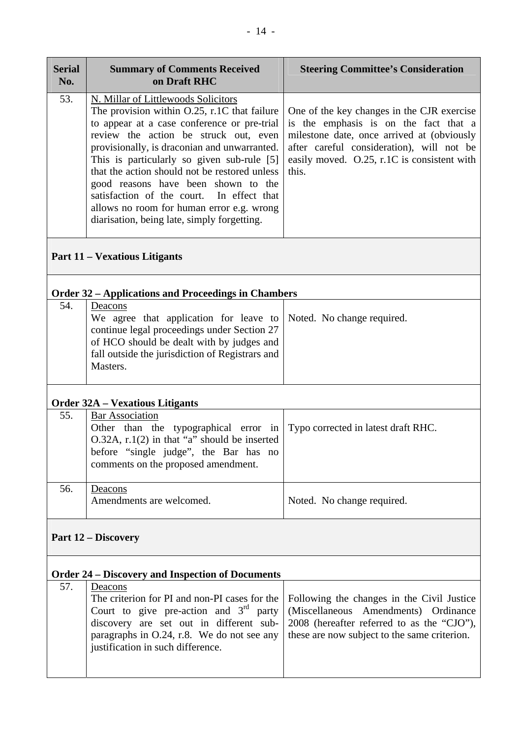| <b>Serial</b><br>No. | <b>Summary of Comments Received</b><br>on Draft RHC                                                                                                                                                                                                                                                                                                                                                                                                                                                              | <b>Steering Committee's Consideration</b>                                                                                                                                                                                              |
|----------------------|------------------------------------------------------------------------------------------------------------------------------------------------------------------------------------------------------------------------------------------------------------------------------------------------------------------------------------------------------------------------------------------------------------------------------------------------------------------------------------------------------------------|----------------------------------------------------------------------------------------------------------------------------------------------------------------------------------------------------------------------------------------|
| 53.                  | N. Millar of Littlewoods Solicitors<br>The provision within $0.25$ , r.1C that failure<br>to appear at a case conference or pre-trial<br>review the action be struck out, even<br>provisionally, is draconian and unwarranted.<br>This is particularly so given sub-rule [5]<br>that the action should not be restored unless<br>good reasons have been shown to the<br>satisfaction of the court.<br>In effect that<br>allows no room for human error e.g. wrong<br>diarisation, being late, simply forgetting. | One of the key changes in the CJR exercise<br>is the emphasis is on the fact that a<br>milestone date, once arrived at (obviously<br>after careful consideration), will not be<br>easily moved. O.25, r.1C is consistent with<br>this. |
|                      | <b>Part 11 – Vexatious Litigants</b>                                                                                                                                                                                                                                                                                                                                                                                                                                                                             |                                                                                                                                                                                                                                        |
|                      | <b>Order 32 – Applications and Proceedings in Chambers</b>                                                                                                                                                                                                                                                                                                                                                                                                                                                       |                                                                                                                                                                                                                                        |
| 54.                  | Deacons<br>We agree that application for leave to<br>continue legal proceedings under Section 27<br>of HCO should be dealt with by judges and<br>fall outside the jurisdiction of Registrars and<br>Masters.                                                                                                                                                                                                                                                                                                     | Noted. No change required.                                                                                                                                                                                                             |
|                      | <b>Order 32A - Vexatious Litigants</b>                                                                                                                                                                                                                                                                                                                                                                                                                                                                           |                                                                                                                                                                                                                                        |
| 55.                  | <b>Bar Association</b><br>Other than the typographical error in<br>$O.32A$ , r.1(2) in that "a" should be inserted<br>before "single judge", the Bar has no<br>comments on the proposed amendment.                                                                                                                                                                                                                                                                                                               | Typo corrected in latest draft RHC.                                                                                                                                                                                                    |
| 56.                  | Deacons<br>Amendments are welcomed.                                                                                                                                                                                                                                                                                                                                                                                                                                                                              | Noted. No change required.                                                                                                                                                                                                             |
|                      | <b>Part 12 – Discovery</b>                                                                                                                                                                                                                                                                                                                                                                                                                                                                                       |                                                                                                                                                                                                                                        |
|                      | <b>Order 24 – Discovery and Inspection of Documents</b>                                                                                                                                                                                                                                                                                                                                                                                                                                                          |                                                                                                                                                                                                                                        |
| 57.                  | Deacons<br>The criterion for PI and non-PI cases for the<br>Court to give pre-action and $3rd$ party<br>discovery are set out in different sub-<br>paragraphs in O.24, r.8. We do not see any<br>justification in such difference.                                                                                                                                                                                                                                                                               | Following the changes in the Civil Justice<br>(Miscellaneous Amendments) Ordinance<br>2008 (hereafter referred to as the "CJO"),<br>these are now subject to the same criterion.                                                       |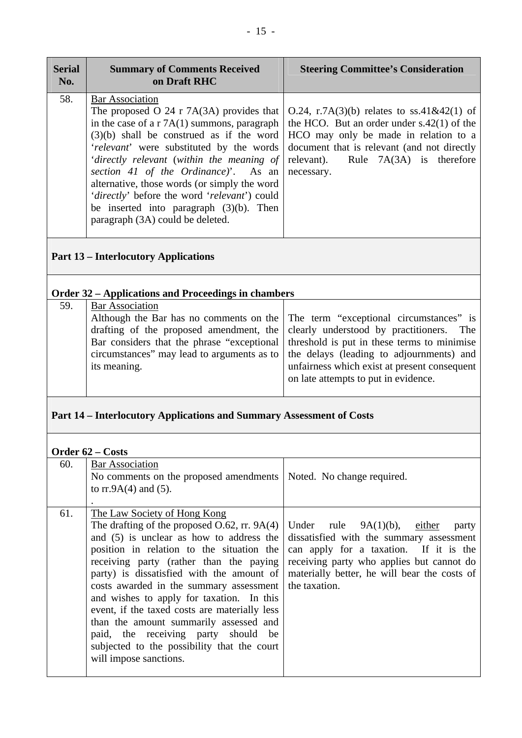| <b>Serial</b><br>No. | <b>Summary of Comments Received</b><br>on Draft RHC                                                                                                                                                                                                                                                                                                                                                    | <b>Steering Committee's Consideration</b>                                                                                                                                                                                                                                                                              |
|----------------------|--------------------------------------------------------------------------------------------------------------------------------------------------------------------------------------------------------------------------------------------------------------------------------------------------------------------------------------------------------------------------------------------------------|------------------------------------------------------------------------------------------------------------------------------------------------------------------------------------------------------------------------------------------------------------------------------------------------------------------------|
| 58.                  | <b>Bar Association</b><br>The proposed O 24 r 7A(3A) provides that<br>in the case of a r $7A(1)$ summons, paragraph  <br>'relevant' were substituted by the words<br>section 41 of the Ordinance)'. As an necessary.<br>alternative, those words (or simply the word<br>'directly' before the word 'relevant') could<br>be inserted into paragraph $(3)(b)$ . Then<br>paragraph (3A) could be deleted. | 0.24, r.7A $(3)(b)$ relates to ss.41&42 $(1)$ of<br>the HCO. But an order under $s.42(1)$ of the<br>$(3)(b)$ shall be construed as if the word HCO may only be made in relation to a<br>document that is relevant (and not directly<br>'directly relevant (within the meaning of relevant). Rule $7A(3A)$ is therefore |

## **Part 13 – Interlocutory Applications**

### **Order 32 – Applications and Proceedings in chambers**

| 59. | <b>Bar Association</b>                                                                   |                                                                                 |
|-----|------------------------------------------------------------------------------------------|---------------------------------------------------------------------------------|
|     |                                                                                          | Although the Bar has no comments on the The term "exceptional circumstances" is |
|     | drafting of the proposed amendment, the clearly understood by practitioners. The         |                                                                                 |
|     | Bar considers that the phrase "exceptional   threshold is put in these terms to minimise |                                                                                 |
|     | circumstances" may lead to arguments as to   the delays (leading to adjournments) and    |                                                                                 |
|     | its meaning.                                                                             | unfairness which exist at present consequent                                    |
|     |                                                                                          | on late attempts to put in evidence.                                            |
|     |                                                                                          |                                                                                 |

### **Part 14 – Interlocutory Applications and Summary Assessment of Costs**

|     | Order 62 – Costs                                                                                                                                                                                                                                                                                                                                                                                                                                                                                                                                                    |                                                                                                                                                                                                                                             |
|-----|---------------------------------------------------------------------------------------------------------------------------------------------------------------------------------------------------------------------------------------------------------------------------------------------------------------------------------------------------------------------------------------------------------------------------------------------------------------------------------------------------------------------------------------------------------------------|---------------------------------------------------------------------------------------------------------------------------------------------------------------------------------------------------------------------------------------------|
| 60. | <b>Bar Association</b><br>No comments on the proposed amendments   Noted. No change required.<br>to $rr.9A(4)$ and (5).                                                                                                                                                                                                                                                                                                                                                                                                                                             |                                                                                                                                                                                                                                             |
| 61. | The Law Society of Hong Kong<br>The drafting of the proposed $0.62$ , rr. 9A(4)<br>and (5) is unclear as how to address the<br>position in relation to the situation the<br>receiving party (rather than the paying<br>party) is dissatisfied with the amount of<br>costs awarded in the summary assessment<br>and wishes to apply for taxation. In this<br>event, if the taxed costs are materially less<br>than the amount summarily assessed and<br>paid, the receiving party should be<br>subjected to the possibility that the court<br>will impose sanctions. | Under rule $9A(1)(b)$ , either<br>party<br>dissatisfied with the summary assessment<br>can apply for a taxation. If it is the<br>receiving party who applies but cannot do<br>materially better, he will bear the costs of<br>the taxation. |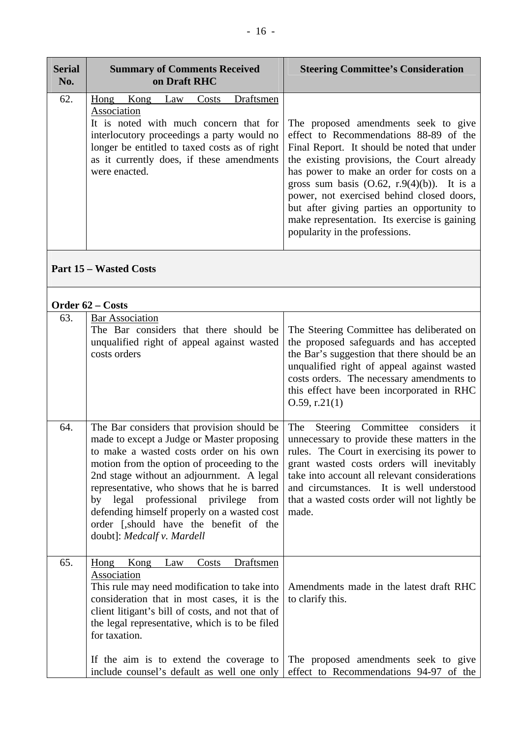| <b>Serial</b><br>No. | <b>Summary of Comments Received</b><br>on Draft RHC                                                                                                                                                                                                          | <b>Steering Committee's Consideration</b>                                                                                                                                                                                                                                                                                                                                                                                                              |
|----------------------|--------------------------------------------------------------------------------------------------------------------------------------------------------------------------------------------------------------------------------------------------------------|--------------------------------------------------------------------------------------------------------------------------------------------------------------------------------------------------------------------------------------------------------------------------------------------------------------------------------------------------------------------------------------------------------------------------------------------------------|
| 62.                  | Draftsmen<br>Hong Kong<br>Law<br>Costs<br>Association<br>It is noted with much concern that for<br>interlocutory proceedings a party would no<br>longer be entitled to taxed costs as of right<br>as it currently does, if these amendments<br>were enacted. | The proposed amendments seek to give<br>effect to Recommendations 88-89 of the<br>Final Report. It should be noted that under<br>the existing provisions, the Court already<br>has power to make an order for costs on a<br>gross sum basis $(0.62, r.9(4)(b))$ . It is a<br>power, not exercised behind closed doors,<br>but after giving parties an opportunity to<br>make representation. Its exercise is gaining<br>popularity in the professions. |

**Part 15 – Wasted Costs** 

| Order 62 – Costs |                                                                                                                                                                                                                                                                                                                                                                                                                                                        |                                                                                                                                                                                                                                                                                                                                                |
|------------------|--------------------------------------------------------------------------------------------------------------------------------------------------------------------------------------------------------------------------------------------------------------------------------------------------------------------------------------------------------------------------------------------------------------------------------------------------------|------------------------------------------------------------------------------------------------------------------------------------------------------------------------------------------------------------------------------------------------------------------------------------------------------------------------------------------------|
| 63.              | <b>Bar Association</b><br>The Bar considers that there should be<br>unqualified right of appeal against wasted<br>costs orders                                                                                                                                                                                                                                                                                                                         | The Steering Committee has deliberated on<br>the proposed safeguards and has accepted<br>the Bar's suggestion that there should be an<br>unqualified right of appeal against wasted<br>costs orders. The necessary amendments to<br>this effect have been incorporated in RHC<br>$0.59$ , r.21(1)                                              |
| 64.              | The Bar considers that provision should be<br>made to except a Judge or Master proposing<br>to make a wasted costs order on his own<br>motion from the option of proceeding to the<br>2nd stage without an adjournment. A legal<br>representative, who shows that he is barred<br>by legal<br>professional<br>privilege<br>from<br>defending himself properly on a wasted cost<br>order [,should have the benefit of the<br>doubt]: Medcalf v. Mardell | Committee<br>considers it<br>The<br>Steering<br>unnecessary to provide these matters in the<br>rules. The Court in exercising its power to<br>grant wasted costs orders will inevitably<br>take into account all relevant considerations<br>and circumstances. It is well understood<br>that a wasted costs order will not lightly be<br>made. |
| 65.              | Draftsmen<br>Hong Kong<br>Law<br>Costs<br>Association<br>This rule may need modification to take into<br>consideration that in most cases, it is the<br>client litigant's bill of costs, and not that of<br>the legal representative, which is to be filed<br>for taxation.                                                                                                                                                                            | Amendments made in the latest draft RHC<br>to clarify this.                                                                                                                                                                                                                                                                                    |
|                  | If the aim is to extend the coverage to<br>include counsel's default as well one only                                                                                                                                                                                                                                                                                                                                                                  | The proposed amendments seek to give<br>effect to Recommendations 94-97 of the                                                                                                                                                                                                                                                                 |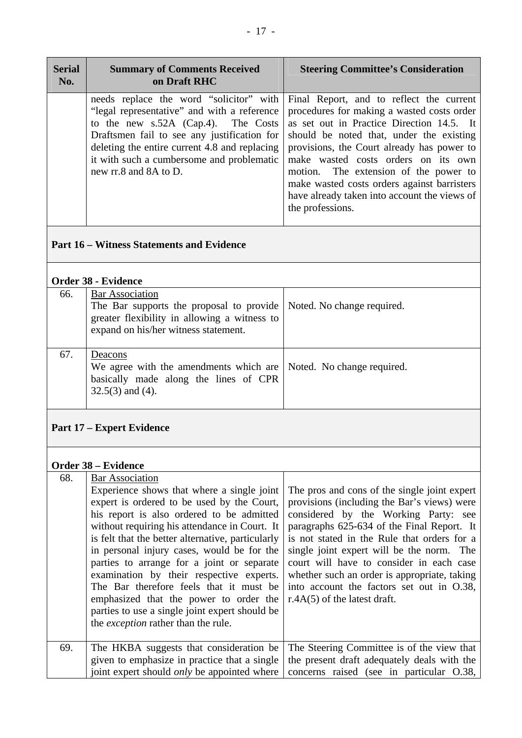| needs replace the word "solicitor" with<br>Final Report, and to reflect the current<br>"legal representative" and with a reference<br>procedures for making a wasted costs order<br>as set out in Practice Direction 14.5. It<br>to the new s.52A (Cap.4). The Costs<br>Draftsmen fail to see any justification for<br>should be noted that, under the existing<br>deleting the entire current 4.8 and replacing<br>provisions, the Court already has power to<br>it with such a cumbersome and problematic<br>make wasted costs orders on its own<br>new rr.8 and 8A to D.<br>motion. The extension of the power to<br>make wasted costs orders against barristers<br>have already taken into account the views of<br>the professions. | <b>Serial</b><br>No. | <b>Summary of Comments Received</b><br>on Draft RHC | <b>Steering Committee's Consideration</b> |
|-----------------------------------------------------------------------------------------------------------------------------------------------------------------------------------------------------------------------------------------------------------------------------------------------------------------------------------------------------------------------------------------------------------------------------------------------------------------------------------------------------------------------------------------------------------------------------------------------------------------------------------------------------------------------------------------------------------------------------------------|----------------------|-----------------------------------------------------|-------------------------------------------|
|                                                                                                                                                                                                                                                                                                                                                                                                                                                                                                                                                                                                                                                                                                                                         |                      |                                                     |                                           |

## **Part 16 – Witness Statements and Evidence**

### **Order 38 - Evidence**

| 66. | <b>Bar Association</b><br>The Bar supports the proposal to provide   Noted. No change required.<br>greater flexibility in allowing a witness to<br>expand on his/her witness statement. |  |  |
|-----|-----------------------------------------------------------------------------------------------------------------------------------------------------------------------------------------|--|--|
| 67. | Deacons<br>We agree with the amendments which are Noted. No change required.<br>basically made along the lines of CPR<br>$32.5(3)$ and (4).                                             |  |  |

### **Part 17 – Expert Evidence**

#### **Order 38 – Evidence**

| 68. | <b>Bar Association</b><br>Experience shows that where a single joint<br>expert is ordered to be used by the Court,<br>his report is also ordered to be admitted<br>without requiring his attendance in Court. It<br>is felt that the better alternative, particularly<br>in personal injury cases, would be for the<br>parties to arrange for a joint or separate<br>examination by their respective experts.<br>The Bar therefore feels that it must be<br>emphasized that the power to order the<br>parties to use a single joint expert should be<br>the exception rather than the rule. | The pros and cons of the single joint expert<br>provisions (including the Bar's views) were<br>considered by the Working Party: see<br>paragraphs 625-634 of the Final Report. It<br>is not stated in the Rule that orders for a<br>single joint expert will be the norm. The<br>court will have to consider in each case<br>whether such an order is appropriate, taking<br>into account the factors set out in O.38,<br>$r.4A(5)$ of the latest draft. |
|-----|---------------------------------------------------------------------------------------------------------------------------------------------------------------------------------------------------------------------------------------------------------------------------------------------------------------------------------------------------------------------------------------------------------------------------------------------------------------------------------------------------------------------------------------------------------------------------------------------|----------------------------------------------------------------------------------------------------------------------------------------------------------------------------------------------------------------------------------------------------------------------------------------------------------------------------------------------------------------------------------------------------------------------------------------------------------|
| 69. | The HKBA suggests that consideration be<br>given to emphasize in practice that a single<br>joint expert should <i>only</i> be appointed where                                                                                                                                                                                                                                                                                                                                                                                                                                               | The Steering Committee is of the view that<br>the present draft adequately deals with the<br>concerns raised (see in particular O.38,                                                                                                                                                                                                                                                                                                                    |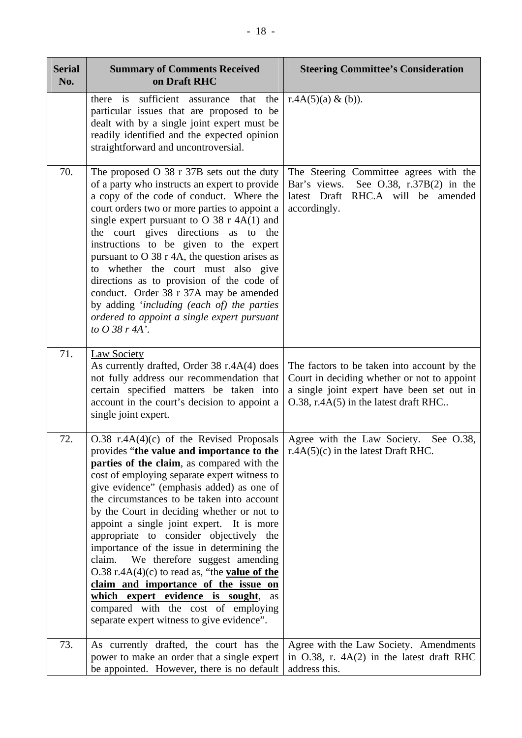| <b>Serial</b><br>No. | <b>Summary of Comments Received</b><br>on Draft RHC                                                                                                                                                                                                                                                                                                                                                                                                                                                                                                                                                                                                                                                                                                                                          | <b>Steering Committee's Consideration</b>                                                                                                                                         |
|----------------------|----------------------------------------------------------------------------------------------------------------------------------------------------------------------------------------------------------------------------------------------------------------------------------------------------------------------------------------------------------------------------------------------------------------------------------------------------------------------------------------------------------------------------------------------------------------------------------------------------------------------------------------------------------------------------------------------------------------------------------------------------------------------------------------------|-----------------------------------------------------------------------------------------------------------------------------------------------------------------------------------|
|                      | there is sufficient assurance that the<br>particular issues that are proposed to be<br>dealt with by a single joint expert must be<br>readily identified and the expected opinion<br>straightforward and uncontroversial.                                                                                                                                                                                                                                                                                                                                                                                                                                                                                                                                                                    | r.4A $(5)(a)$ & $(b)$ ).                                                                                                                                                          |
| 70.                  | The proposed $O$ 38 r 37B sets out the duty<br>of a party who instructs an expert to provide<br>a copy of the code of conduct. Where the<br>court orders two or more parties to appoint a<br>single expert pursuant to O 38 $r$ 4A(1) and<br>the court gives directions as to the<br>instructions to be given to the expert<br>pursuant to O 38 r 4A, the question arises as<br>to whether the court must also give<br>directions as to provision of the code of<br>conduct. Order 38 r 37A may be amended<br>by adding 'including (each of) the parties<br>ordered to appoint a single expert pursuant<br>to $O$ 38 r 4A'.                                                                                                                                                                  | The Steering Committee agrees with the<br>Bar's views.<br>See O.38, $r.37B(2)$ in the<br>latest Draft RHC.A will be amended<br>accordingly.                                       |
| 71.                  | <b>Law Society</b><br>As currently drafted, Order 38 r.4A(4) does<br>not fully address our recommendation that<br>certain specified matters be taken into<br>account in the court's decision to appoint a<br>single joint expert.                                                                                                                                                                                                                                                                                                                                                                                                                                                                                                                                                            | The factors to be taken into account by the<br>Court in deciding whether or not to appoint<br>a single joint expert have been set out in<br>O.38, r.4A(5) in the latest draft RHC |
| 72.                  | $0.38$ r.4A(4)(c) of the Revised Proposals<br>provides "the value and importance to the $\vert$ r.4A(5)(c) in the latest Draft RHC.<br>parties of the claim, as compared with the<br>cost of employing separate expert witness to<br>give evidence" (emphasis added) as one of<br>the circumstances to be taken into account<br>by the Court in deciding whether or not to<br>appoint a single joint expert. It is more<br>appropriate to consider objectively the<br>importance of the issue in determining the<br>We therefore suggest amending<br>claim.<br>$0.38$ r.4A(4)(c) to read as, "the <b>value of the</b><br>claim and importance of the issue on<br>which expert evidence is sought,<br>as<br>compared with the cost of employing<br>separate expert witness to give evidence". | Agree with the Law Society. See O.38,                                                                                                                                             |
| 73.                  | As currently drafted, the court has the<br>power to make an order that a single expert<br>be appointed. However, there is no default                                                                                                                                                                                                                                                                                                                                                                                                                                                                                                                                                                                                                                                         | Agree with the Law Society. Amendments<br>in $O.38$ , r. $4A(2)$ in the latest draft RHC<br>address this.                                                                         |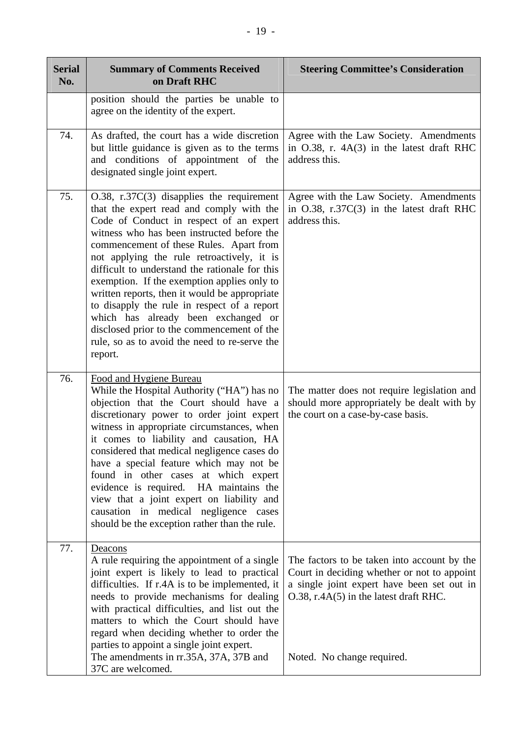| <b>Serial</b><br>No. | <b>Summary of Comments Received</b><br>on Draft RHC                                                                                                                                                                                                                                                                                                                                                                                                                                                                                                                                                                             | <b>Steering Committee's Consideration</b>                                                                                                                                                                              |
|----------------------|---------------------------------------------------------------------------------------------------------------------------------------------------------------------------------------------------------------------------------------------------------------------------------------------------------------------------------------------------------------------------------------------------------------------------------------------------------------------------------------------------------------------------------------------------------------------------------------------------------------------------------|------------------------------------------------------------------------------------------------------------------------------------------------------------------------------------------------------------------------|
|                      | position should the parties be unable to<br>agree on the identity of the expert.                                                                                                                                                                                                                                                                                                                                                                                                                                                                                                                                                |                                                                                                                                                                                                                        |
| 74.                  | As drafted, the court has a wide discretion<br>but little guidance is given as to the terms<br>and conditions of appointment of the<br>designated single joint expert.                                                                                                                                                                                                                                                                                                                                                                                                                                                          | Agree with the Law Society. Amendments<br>in O.38, r. 4A(3) in the latest draft RHC<br>address this.                                                                                                                   |
| 75.                  | $O.38$ , r.37 $C(3)$ disapplies the requirement<br>that the expert read and comply with the<br>Code of Conduct in respect of an expert<br>witness who has been instructed before the<br>commencement of these Rules. Apart from<br>not applying the rule retroactively, it is<br>difficult to understand the rationale for this<br>exemption. If the exemption applies only to<br>written reports, then it would be appropriate<br>to disapply the rule in respect of a report<br>which has already been exchanged or<br>disclosed prior to the commencement of the<br>rule, so as to avoid the need to re-serve the<br>report. | Agree with the Law Society. Amendments<br>in $O.38$ , r.37 $C(3)$ in the latest draft RHC<br>address this.                                                                                                             |
| 76.                  | Food and Hygiene Bureau<br>While the Hospital Authority ("HA") has no<br>objection that the Court should have a<br>discretionary power to order joint expert<br>witness in appropriate circumstances, when<br>it comes to liability and causation, HA<br>considered that medical negligence cases do<br>have a special feature which may not be<br>found in other cases at which expert<br>evidence is required. HA maintains the<br>view that a joint expert on liability and<br>causation in medical negligence cases<br>should be the exception rather than the rule.                                                        | The matter does not require legislation and<br>should more appropriately be dealt with by<br>the court on a case-by-case basis.                                                                                        |
| 77.                  | Deacons<br>A rule requiring the appointment of a single<br>joint expert is likely to lead to practical<br>difficulties. If r.4A is to be implemented, it<br>needs to provide mechanisms for dealing<br>with practical difficulties, and list out the<br>matters to which the Court should have<br>regard when deciding whether to order the<br>parties to appoint a single joint expert.<br>The amendments in rr.35A, 37A, 37B and<br>37C are welcomed.                                                                                                                                                                         | The factors to be taken into account by the<br>Court in deciding whether or not to appoint<br>a single joint expert have been set out in<br>$O.38$ , r.4A $(5)$ in the latest draft RHC.<br>Noted. No change required. |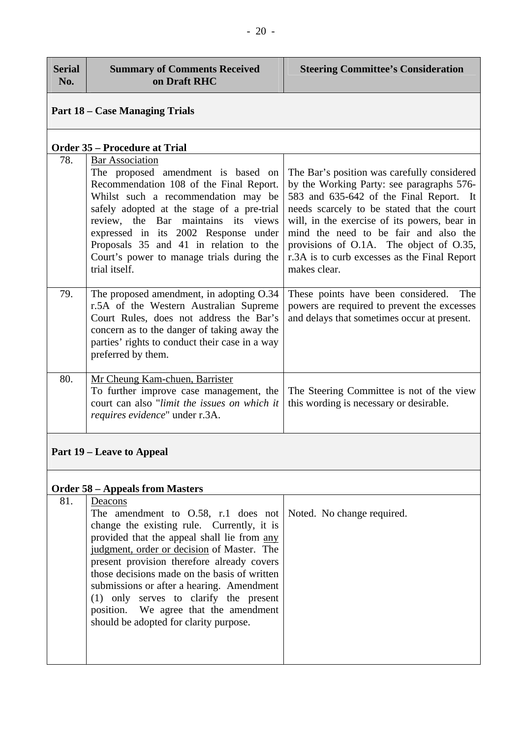| <b>Serial</b><br>No. | <b>Summary of Comments Received</b><br>on Draft RHC                                                                                                                                                                                                                                                                                                                                                                                                                     | <b>Steering Committee's Consideration</b>                                                                                                                                                                                                                                                                                                                                             |  |  |
|----------------------|-------------------------------------------------------------------------------------------------------------------------------------------------------------------------------------------------------------------------------------------------------------------------------------------------------------------------------------------------------------------------------------------------------------------------------------------------------------------------|---------------------------------------------------------------------------------------------------------------------------------------------------------------------------------------------------------------------------------------------------------------------------------------------------------------------------------------------------------------------------------------|--|--|
|                      | <b>Part 18 – Case Managing Trials</b>                                                                                                                                                                                                                                                                                                                                                                                                                                   |                                                                                                                                                                                                                                                                                                                                                                                       |  |  |
|                      | <b>Order 35 – Procedure at Trial</b>                                                                                                                                                                                                                                                                                                                                                                                                                                    |                                                                                                                                                                                                                                                                                                                                                                                       |  |  |
| 78.                  | <b>Bar Association</b><br>The proposed amendment is based on<br>Recommendation 108 of the Final Report.<br>Whilst such a recommendation may be<br>safely adopted at the stage of a pre-trial<br>review, the Bar maintains its<br>views<br>expressed in its 2002 Response under<br>Proposals 35 and 41 in relation to the<br>Court's power to manage trials during the<br>trial itself.                                                                                  | The Bar's position was carefully considered<br>by the Working Party: see paragraphs 576-<br>583 and 635-642 of the Final Report. It<br>needs scarcely to be stated that the court<br>will, in the exercise of its powers, bear in<br>mind the need to be fair and also the<br>provisions of O.1A. The object of O.35,<br>r.3A is to curb excesses as the Final Report<br>makes clear. |  |  |
| 79.                  | The proposed amendment, in adopting O.34<br>r.5A of the Western Australian Supreme<br>Court Rules, does not address the Bar's<br>concern as to the danger of taking away the<br>parties' rights to conduct their case in a way<br>preferred by them.                                                                                                                                                                                                                    | These points have been considered.<br>The<br>powers are required to prevent the excesses<br>and delays that sometimes occur at present.                                                                                                                                                                                                                                               |  |  |
| 80.                  | Mr Cheung Kam-chuen, Barrister<br>To further improve case management, the<br>court can also "limit the issues on which it<br>requires evidence" under r.3A.                                                                                                                                                                                                                                                                                                             | The Steering Committee is not of the view<br>this wording is necessary or desirable.                                                                                                                                                                                                                                                                                                  |  |  |
|                      | <b>Part 19 – Leave to Appeal</b>                                                                                                                                                                                                                                                                                                                                                                                                                                        |                                                                                                                                                                                                                                                                                                                                                                                       |  |  |
|                      | <b>Order 58 - Appeals from Masters</b>                                                                                                                                                                                                                                                                                                                                                                                                                                  |                                                                                                                                                                                                                                                                                                                                                                                       |  |  |
| 81.                  | Deacons<br>The amendment to $0.58$ , r.1 does not<br>change the existing rule. Currently, it is<br>provided that the appeal shall lie from any<br>judgment, order or decision of Master. The<br>present provision therefore already covers<br>those decisions made on the basis of written<br>submissions or after a hearing. Amendment<br>(1) only serves to clarify the present<br>We agree that the amendment<br>position.<br>should be adopted for clarity purpose. | Noted. No change required.                                                                                                                                                                                                                                                                                                                                                            |  |  |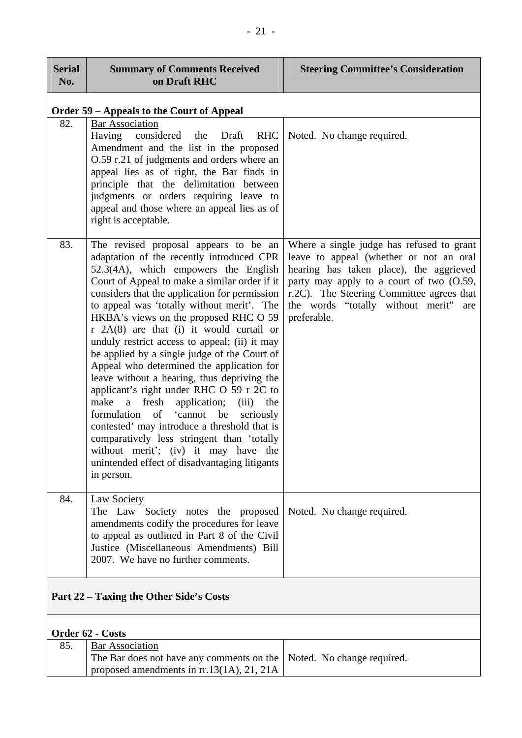| <b>Serial</b><br>No.                    | <b>Summary of Comments Received</b><br>on Draft RHC                                                                                                                                                                                                                                                                                                                                                                                                                                                                                                                                                                                                                                                                                                                                                                                                                                                    | <b>Steering Committee's Consideration</b>                                                                                                                                                                                                                                        |
|-----------------------------------------|--------------------------------------------------------------------------------------------------------------------------------------------------------------------------------------------------------------------------------------------------------------------------------------------------------------------------------------------------------------------------------------------------------------------------------------------------------------------------------------------------------------------------------------------------------------------------------------------------------------------------------------------------------------------------------------------------------------------------------------------------------------------------------------------------------------------------------------------------------------------------------------------------------|----------------------------------------------------------------------------------------------------------------------------------------------------------------------------------------------------------------------------------------------------------------------------------|
|                                         | <b>Order 59 - Appeals to the Court of Appeal</b>                                                                                                                                                                                                                                                                                                                                                                                                                                                                                                                                                                                                                                                                                                                                                                                                                                                       |                                                                                                                                                                                                                                                                                  |
| 82.                                     | <b>Bar Association</b><br>Having<br>considered the<br><b>RHC</b><br>Draft<br>Amendment and the list in the proposed<br>O.59 r.21 of judgments and orders where an<br>appeal lies as of right, the Bar finds in<br>principle that the delimitation between<br>judgments or orders requiring leave to<br>appeal and those where an appeal lies as of<br>right is acceptable.                                                                                                                                                                                                                                                                                                                                                                                                                                                                                                                             | Noted. No change required.                                                                                                                                                                                                                                                       |
| 83.                                     | The revised proposal appears to be an<br>adaptation of the recently introduced CPR<br>52.3(4A), which empowers the English<br>Court of Appeal to make a similar order if it<br>considers that the application for permission<br>to appeal was 'totally without merit'. The<br>HKBA's views on the proposed RHC O 59<br>$r$ 2A(8) are that (i) it would curtail or<br>unduly restrict access to appeal; (ii) it may<br>be applied by a single judge of the Court of<br>Appeal who determined the application for<br>leave without a hearing, thus depriving the<br>applicant's right under RHC O 59 r 2C to<br>make<br>a fresh<br>application; (iii) the<br>formulation of 'cannot be<br>seriously<br>contested' may introduce a threshold that is<br>comparatively less stringent than 'totally<br>without merit'; (iv) it may have the<br>unintended effect of disadvantaging litigants<br>in person. | Where a single judge has refused to grant<br>leave to appeal (whether or not an oral<br>hearing has taken place), the aggrieved<br>party may apply to a court of two (O.59,<br>r.2C). The Steering Committee agrees that<br>the words "totally without merit" are<br>preferable. |
| 84.                                     | Law Society<br>The Law Society notes the proposed<br>amendments codify the procedures for leave<br>to appeal as outlined in Part 8 of the Civil<br>Justice (Miscellaneous Amendments) Bill<br>2007. We have no further comments.                                                                                                                                                                                                                                                                                                                                                                                                                                                                                                                                                                                                                                                                       | Noted. No change required.                                                                                                                                                                                                                                                       |
| Part 22 – Taxing the Other Side's Costs |                                                                                                                                                                                                                                                                                                                                                                                                                                                                                                                                                                                                                                                                                                                                                                                                                                                                                                        |                                                                                                                                                                                                                                                                                  |
| Order 62 - Costs                        |                                                                                                                                                                                                                                                                                                                                                                                                                                                                                                                                                                                                                                                                                                                                                                                                                                                                                                        |                                                                                                                                                                                                                                                                                  |
| 85.                                     | <b>Bar Association</b>                                                                                                                                                                                                                                                                                                                                                                                                                                                                                                                                                                                                                                                                                                                                                                                                                                                                                 |                                                                                                                                                                                                                                                                                  |
|                                         |                                                                                                                                                                                                                                                                                                                                                                                                                                                                                                                                                                                                                                                                                                                                                                                                                                                                                                        |                                                                                                                                                                                                                                                                                  |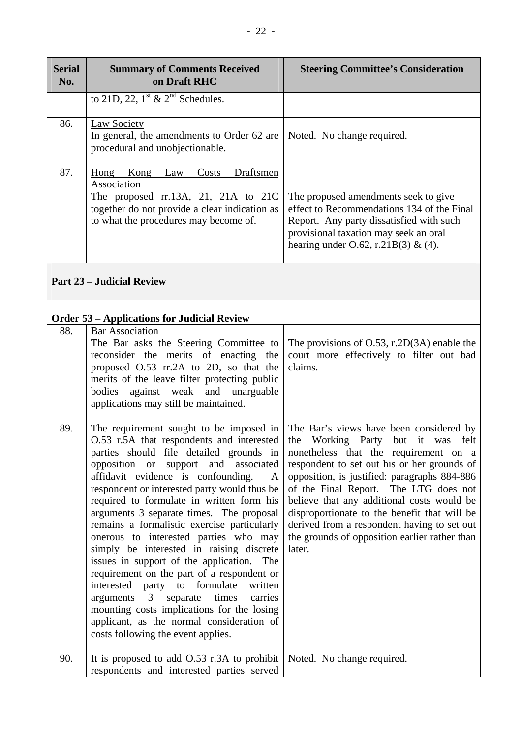| <b>Serial</b><br>No. | <b>Summary of Comments Received</b><br>on Draft RHC                                                                                                                                                                                                                                                                                                                                                                                                                                                                                                                                                                                                                                                                                                                                                                    | <b>Steering Committee's Consideration</b>                                                                                                                                                                                                                                                                                                                                                                                                                             |
|----------------------|------------------------------------------------------------------------------------------------------------------------------------------------------------------------------------------------------------------------------------------------------------------------------------------------------------------------------------------------------------------------------------------------------------------------------------------------------------------------------------------------------------------------------------------------------------------------------------------------------------------------------------------------------------------------------------------------------------------------------------------------------------------------------------------------------------------------|-----------------------------------------------------------------------------------------------------------------------------------------------------------------------------------------------------------------------------------------------------------------------------------------------------------------------------------------------------------------------------------------------------------------------------------------------------------------------|
|                      | to 21D, 22, $1^{\text{st}}$ & $2^{\text{nd}}$ Schedules.                                                                                                                                                                                                                                                                                                                                                                                                                                                                                                                                                                                                                                                                                                                                                               |                                                                                                                                                                                                                                                                                                                                                                                                                                                                       |
| 86.                  | <b>Law Society</b><br>In general, the amendments to Order 62 are<br>procedural and unobjectionable.                                                                                                                                                                                                                                                                                                                                                                                                                                                                                                                                                                                                                                                                                                                    | Noted. No change required.                                                                                                                                                                                                                                                                                                                                                                                                                                            |
| 87.                  | Draftsmen<br>Hong Kong<br>Costs<br>Law<br>Association<br>The proposed $rr.13A$ , 21, 21A to 21C<br>together do not provide a clear indication as<br>to what the procedures may become of.                                                                                                                                                                                                                                                                                                                                                                                                                                                                                                                                                                                                                              | The proposed amendments seek to give<br>effect to Recommendations 134 of the Final<br>Report. Any party dissatisfied with such<br>provisional taxation may seek an oral<br>hearing under O.62, r.21B(3) & (4).                                                                                                                                                                                                                                                        |
|                      | <b>Part 23 – Judicial Review</b>                                                                                                                                                                                                                                                                                                                                                                                                                                                                                                                                                                                                                                                                                                                                                                                       |                                                                                                                                                                                                                                                                                                                                                                                                                                                                       |
|                      | <b>Order 53 – Applications for Judicial Review</b>                                                                                                                                                                                                                                                                                                                                                                                                                                                                                                                                                                                                                                                                                                                                                                     |                                                                                                                                                                                                                                                                                                                                                                                                                                                                       |
| 88.                  | <b>Bar Association</b><br>The Bar asks the Steering Committee to<br>reconsider the merits of enacting the<br>proposed O.53 rr.2A to 2D, so that the<br>merits of the leave filter protecting public<br>bodies<br>against weak<br>and unarguable<br>applications may still be maintained.                                                                                                                                                                                                                                                                                                                                                                                                                                                                                                                               | The provisions of $O.53$ , r.2D $(3A)$ enable the<br>court more effectively to filter out bad<br>claims.                                                                                                                                                                                                                                                                                                                                                              |
| 89.                  | The requirement sought to be imposed in<br>O.53 r.5A that respondents and interested<br>parties should file detailed grounds in<br>opposition or support and associated<br>affidavit evidence is confounding.<br>A<br>respondent or interested party would thus be<br>required to formulate in written form his<br>arguments 3 separate times. The proposal<br>remains a formalistic exercise particularly<br>onerous to interested parties who may<br>simply be interested in raising discrete<br>issues in support of the application. The<br>requirement on the part of a respondent or<br>to formulate<br>interested party<br>written<br>separate times<br>arguments 3<br>carries<br>mounting costs implications for the losing<br>applicant, as the normal consideration of<br>costs following the event applies. | The Bar's views have been considered by<br>the Working Party but it was felt<br>nonetheless that the requirement on a<br>respondent to set out his or her grounds of<br>opposition, is justified: paragraphs 884-886<br>of the Final Report. The LTG does not<br>believe that any additional costs would be<br>disproportionate to the benefit that will be<br>derived from a respondent having to set out<br>the grounds of opposition earlier rather than<br>later. |
| 90.                  | It is proposed to add $0.53$ r.3A to prohibit<br>respondents and interested parties served                                                                                                                                                                                                                                                                                                                                                                                                                                                                                                                                                                                                                                                                                                                             | Noted. No change required.                                                                                                                                                                                                                                                                                                                                                                                                                                            |

г

┱